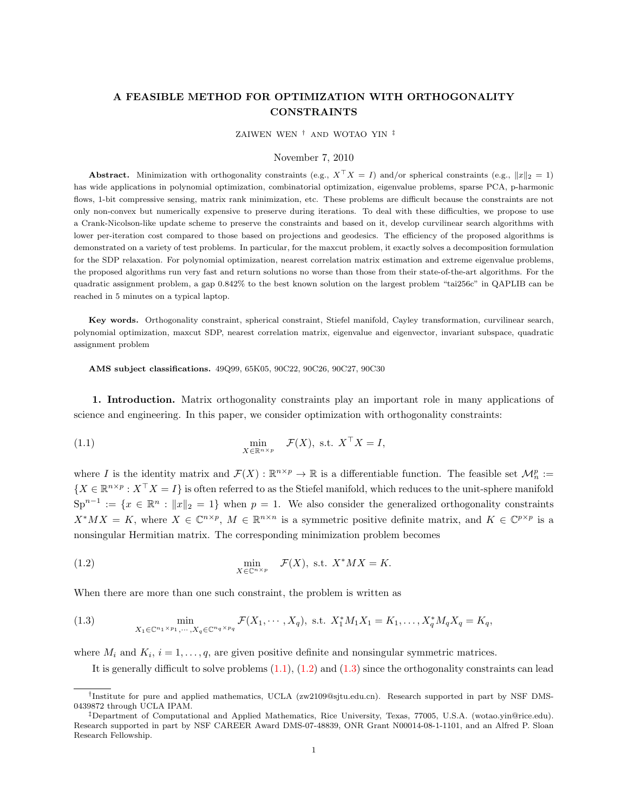# A FEASIBLE METHOD FOR OPTIMIZATION WITH ORTHOGONALITY CONSTRAINTS

ZAIWEN WEN † AND WOTAO YIN ‡

## <span id="page-0-0"></span>November 7, 2010

Abstract. Minimization with orthogonality constraints (e.g.,  $X^{\top}X = I$ ) and/or spherical constraints (e.g.,  $||x||_2 = 1$ ) has wide applications in polynomial optimization, combinatorial optimization, eigenvalue problems, sparse PCA, p-harmonic flows, 1-bit compressive sensing, matrix rank minimization, etc. These problems are difficult because the constraints are not only non-convex but numerically expensive to preserve during iterations. To deal with these difficulties, we propose to use a Crank-Nicolson-like update scheme to preserve the constraints and based on it, develop curvilinear search algorithms with lower per-iteration cost compared to those based on projections and geodesics. The efficiency of the proposed algorithms is demonstrated on a variety of test problems. In particular, for the maxcut problem, it exactly solves a decomposition formulation for the SDP relaxation. For polynomial optimization, nearest correlation matrix estimation and extreme eigenvalue problems, the proposed algorithms run very fast and return solutions no worse than those from their state-of-the-art algorithms. For the quadratic assignment problem, a gap 0.842% to the best known solution on the largest problem "tai256c" in QAPLIB can be reached in 5 minutes on a typical laptop.

Key words. Orthogonality constraint, spherical constraint, Stiefel manifold, Cayley transformation, curvilinear search, polynomial optimization, maxcut SDP, nearest correlation matrix, eigenvalue and eigenvector, invariant subspace, quadratic assignment problem

AMS subject classifications. 49Q99, 65K05, 90C22, 90C26, 90C27, 90C30

1. Introduction. Matrix orthogonality constraints play an important role in many applications of science and engineering. In this paper, we consider optimization with orthogonality constraints:

(1.1) 
$$
\min_{X \in \mathbb{R}^{n \times p}} \mathcal{F}(X), \text{ s.t. } X^{\top} X = I,
$$

where I is the identity matrix and  $\mathcal{F}(X): \mathbb{R}^{n \times p} \to \mathbb{R}$  is a differentiable function. The feasible set  $\mathcal{M}_n^p :=$  $\{X \in \mathbb{R}^{n \times p} : X^{\top}X = I\}$  is often referred to as the Stiefel manifold, which reduces to the unit-sphere manifold  $\text{Sp}^{n-1} := \{x \in \mathbb{R}^n : ||x||_2 = 1\}$  when  $p = 1$ . We also consider the generalized orthogonality constraints  $X^*MX = K$ , where  $X \in \mathbb{C}^{n \times p}$ ,  $M \in \mathbb{R}^{n \times n}$  is a symmetric positive definite matrix, and  $K \in \mathbb{C}^{p \times p}$  is a nonsingular Hermitian matrix. The corresponding minimization problem becomes

<span id="page-0-1"></span>(1.2) 
$$
\min_{X \in \mathbb{C}^{n \times p}} \mathcal{F}(X), \text{ s.t. } X^*MX = K.
$$

When there are more than one such constraint, the problem is written as

(1.3) 
$$
\min_{X_1 \in \mathbb{C}^{n_1 \times p_1}, \dots, X_q \in \mathbb{C}^{n_q \times p_q}} \mathcal{F}(X_1, \dots, X_q), \text{ s.t. } X_1^* M_1 X_1 = K_1, \dots, X_q^* M_q X_q = K_q,
$$

where  $M_i$  and  $K_i$ ,  $i = 1, \ldots, q$ , are given positive definite and nonsingular symmetric matrices.

<span id="page-0-2"></span>It is generally difficult to solve problems  $(1.1)$ ,  $(1.2)$  and  $(1.3)$  since the orthogonality constraints can lead

<sup>†</sup> Institute for pure and applied mathematics, UCLA (zw2109@sjtu.edu.cn). Research supported in part by NSF DMS-0439872 through UCLA IPAM.

<sup>‡</sup>Department of Computational and Applied Mathematics, Rice University, Texas, 77005, U.S.A. (wotao.yin@rice.edu). Research supported in part by NSF CAREER Award DMS-07-48839, ONR Grant N00014-08-1-1101, and an Alfred P. Sloan Research Fellowship.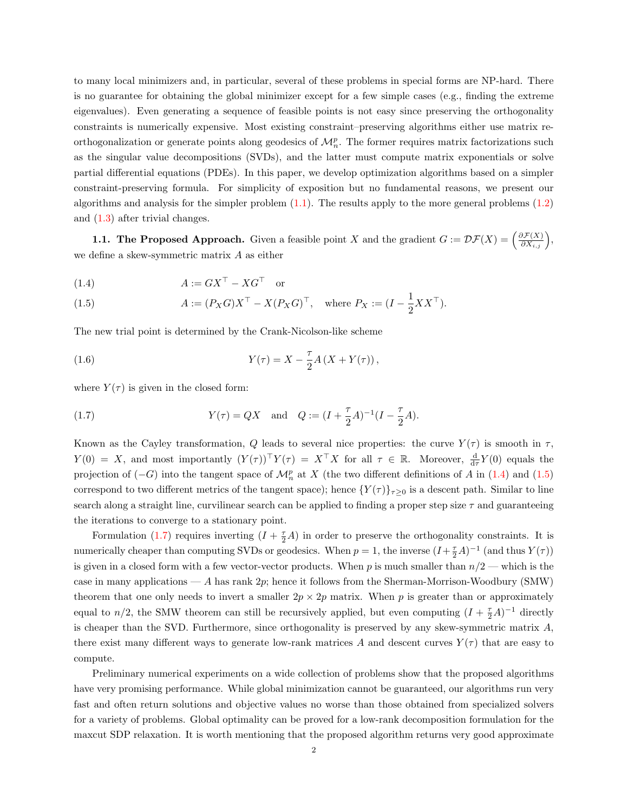to many local minimizers and, in particular, several of these problems in special forms are NP-hard. There is no guarantee for obtaining the global minimizer except for a few simple cases (e.g., finding the extreme eigenvalues). Even generating a sequence of feasible points is not easy since preserving the orthogonality constraints is numerically expensive. Most existing constraint–preserving algorithms either use matrix reorthogonalization or generate points along geodesics of  $\mathcal{M}_n^p$ . The former requires matrix factorizations such as the singular value decompositions (SVDs), and the latter must compute matrix exponentials or solve partial differential equations (PDEs). In this paper, we develop optimization algorithms based on a simpler constraint-preserving formula. For simplicity of exposition but no fundamental reasons, we present our algorithms and analysis for the simpler problem  $(1.1)$ . The results apply to the more general problems  $(1.2)$ and [\(1.3\)](#page-0-2) after trivial changes.

**1.1. The Proposed Approach.** Given a feasible point X and the gradient  $G := \mathcal{DF}(X) = \left(\frac{\partial \mathcal{F}(X)}{\partial X_{i,j}}\right)$ , we define a skew-symmetric matrix A as either

$$
(1.4) \t\t A := GX^{\top} - XG^{\top} \t or
$$

<span id="page-1-2"></span><span id="page-1-0"></span>(1.5) 
$$
A := (P_X G) X^\top - X (P_X G)^\top, \text{ where } P_X := (I - \frac{1}{2} X X^\top).
$$

The new trial point is determined by the Crank-Nicolson-like scheme

(1.6) 
$$
Y(\tau) = X - \frac{\tau}{2} A (X + Y(\tau)),
$$

<span id="page-1-1"></span>where  $Y(\tau)$  is given in the closed form:

(1.7) 
$$
Y(\tau) = QX \text{ and } Q := (I + \frac{\tau}{2}A)^{-1}(I - \frac{\tau}{2}A).
$$

Known as the Cayley transformation, Q leads to several nice properties: the curve  $Y(\tau)$  is smooth in  $\tau$ ,  $Y(0) = X$ , and most importantly  $(Y(\tau))^\top Y(\tau) = X^\top X$  for all  $\tau \in \mathbb{R}$ . Moreover,  $\frac{d}{d\tau}Y(0)$  equals the projection of  $(-G)$  into the tangent space of  $\mathcal{M}_n^p$  at X (the two different definitions of A in  $(1.4)$  and  $(1.5)$ correspond to two different metrics of the tangent space); hence  $\{Y(\tau)\}_{\tau\geq 0}$  is a descent path. Similar to line search along a straight line, curvilinear search can be applied to finding a proper step size  $\tau$  and guaranteeing the iterations to converge to a stationary point.

Formulation [\(1.7\)](#page-1-1) requires inverting  $(I + \frac{\tau}{2}A)$  in order to preserve the orthogonality constraints. It is numerically cheaper than computing SVDs or geodesics. When  $p = 1$ , the inverse  $(I + \frac{\tau}{2}A)^{-1}$  (and thus  $Y(\tau)$ ) is given in a closed form with a few vector-vector products. When p is much smaller than  $n/2$  — which is the case in many applications — A has rank  $2p$ ; hence it follows from the Sherman-Morrison-Woodbury (SMW) theorem that one only needs to invert a smaller  $2p \times 2p$  matrix. When p is greater than or approximately equal to  $n/2$ , the SMW theorem can still be recursively applied, but even computing  $(I + \frac{\tau}{2}A)^{-1}$  directly is cheaper than the SVD. Furthermore, since orthogonality is preserved by any skew-symmetric matrix A, there exist many different ways to generate low-rank matrices A and descent curves  $Y(\tau)$  that are easy to compute.

Preliminary numerical experiments on a wide collection of problems show that the proposed algorithms have very promising performance. While global minimization cannot be guaranteed, our algorithms run very fast and often return solutions and objective values no worse than those obtained from specialized solvers for a variety of problems. Global optimality can be proved for a low-rank decomposition formulation for the maxcut SDP relaxation. It is worth mentioning that the proposed algorithm returns very good approximate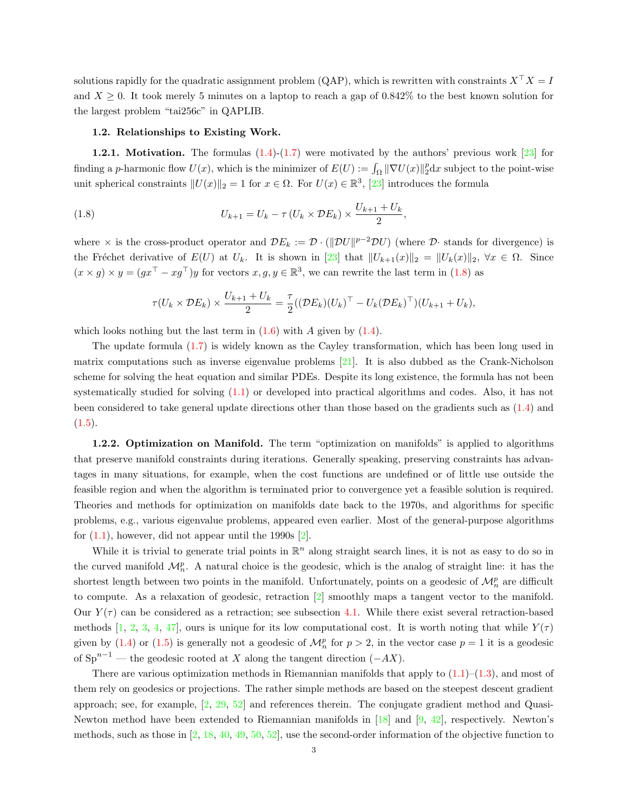solutions rapidly for the quadratic assignment problem (QAP), which is rewritten with constraints  $X^{\top} X = I$ and  $X \geq 0$ . It took merely 5 minutes on a laptop to reach a gap of 0.842% to the best known solution for the largest problem "tai256c" in QAPLIB.

#### 1.2. Relationships to Existing Work.

**1.2.1. Motivation.** The formulas  $(1.4)-(1.7)$  $(1.4)-(1.7)$  $(1.4)-(1.7)$  were motivated by the authors' previous work  $\begin{bmatrix} 23 \end{bmatrix}$  for finding a p-harmonic flow  $U(x)$ , which is the minimizer of  $E(U) := \int_{\Omega} ||\nabla U(x)||_2^p dx$  subject to the point-wise unit spherical constraints  $||U(x)||_2 = 1$  for  $x \in \Omega$ . For  $U(x) \in \mathbb{R}^3$ , [\[23\]](#page-28-0) introduces the formula

(1.8) 
$$
U_{k+1} = U_k - \tau (U_k \times \mathcal{D}E_k) \times \frac{U_{k+1} + U_k}{2},
$$

where  $\times$  is the cross-product operator and  $\mathcal{D}E_k := \mathcal{D} \cdot (\|\mathcal{D}U\|^{p-2} \mathcal{D}U)$  (where  $\mathcal{D} \cdot$  stands for divergence) is the Fréchet derivative of  $E(U)$  at  $U_k$ . It is shown in [\[23\]](#page-28-0) that  $||U_{k+1}(x)||_2 = ||U_k(x)||_2$ ,  $\forall x \in \Omega$ . Since  $(x \times g) \times y = (gx^{\top} - xg^{\top})y$  for vectors  $x, g, y \in \mathbb{R}^{3}$ , we can rewrite the last term in [\(1.8\)](#page-2-0) as

<span id="page-2-0"></span>
$$
\tau(U_k \times \mathcal{D}E_k) \times \frac{U_{k+1} + U_k}{2} = \frac{\tau}{2} ((\mathcal{D}E_k)(U_k)^\top - U_k (\mathcal{D}E_k)^\top)(U_{k+1} + U_k),
$$

which looks nothing but the last term in  $(1.6)$  with A given by  $(1.4)$ .

The update formula [\(1.7\)](#page-1-1) is widely known as the Cayley transformation, which has been long used in matrix computations such as inverse eigenvalue problems [\[21\]](#page-28-1). It is also dubbed as the Crank-Nicholson scheme for solving the heat equation and similar PDEs. Despite its long existence, the formula has not been systematically studied for solving [\(1.1\)](#page-0-0) or developed into practical algorithms and codes. Also, it has not been considered to take general update directions other than those based on the gradients such as [\(1.4\)](#page-1-0) and  $(1.5).$  $(1.5).$ 

1.2.2. Optimization on Manifold. The term "optimization on manifolds" is applied to algorithms that preserve manifold constraints during iterations. Generally speaking, preserving constraints has advantages in many situations, for example, when the cost functions are undefined or of little use outside the feasible region and when the algorithm is terminated prior to convergence yet a feasible solution is required. Theories and methods for optimization on manifolds date back to the 1970s, and algorithms for specific problems, e.g., various eigenvalue problems, appeared even earlier. Most of the general-purpose algorithms for  $(1.1)$ , however, did not appear until the 1990s  $[2]$ .

While it is trivial to generate trial points in  $\mathbb{R}^n$  along straight search lines, it is not as easy to do so in the curved manifold  $\mathcal{M}_n^p$ . A natural choice is the geodesic, which is the analog of straight line: it has the shortest length between two points in the manifold. Unfortunately, points on a geodesic of  $\mathcal{M}_n^p$  are difficult to compute. As a relaxation of geodesic, retraction [\[2\]](#page-26-0) smoothly maps a tangent vector to the manifold. Our  $Y(\tau)$  can be considered as a retraction; see subsection [4.1.](#page-11-0) While there exist several retraction-based methods [\[1,](#page-26-1) [2,](#page-26-0) [3,](#page-27-0) [4,](#page-27-1) [47\]](#page-28-2), ours is unique for its low computational cost. It is worth noting that while  $Y(\tau)$ given by [\(1.4\)](#page-1-0) or [\(1.5\)](#page-1-0) is generally not a geodesic of  $\mathcal{M}_n^p$  for  $p > 2$ , in the vector case  $p = 1$  it is a geodesic of  $Sp^{n-1}$  — the geodesic rooted at X along the tangent direction  $(-AX)$ .

There are various optimization methods in Riemannian manifolds that apply to  $(1.1)$ – $(1.3)$ , and most of them rely on geodesics or projections. The rather simple methods are based on the steepest descent gradient approach; see, for example, [\[2,](#page-26-0) [29,](#page-28-3) [52\]](#page-29-0) and references therein. The conjugate gradient method and Quasi-Newton method have been extended to Riemannian manifolds in [\[18\]](#page-27-2) and [\[9,](#page-27-3) [42\]](#page-28-4), respectively. Newton's methods, such as those in  $[2, 18, 40, 49, 50, 52]$  $[2, 18, 40, 49, 50, 52]$  $[2, 18, 40, 49, 50, 52]$  $[2, 18, 40, 49, 50, 52]$  $[2, 18, 40, 49, 50, 52]$  $[2, 18, 40, 49, 50, 52]$  $[2, 18, 40, 49, 50, 52]$  $[2, 18, 40, 49, 50, 52]$  $[2, 18, 40, 49, 50, 52]$  $[2, 18, 40, 49, 50, 52]$  $[2, 18, 40, 49, 50, 52]$ , use the second-order information of the objective function to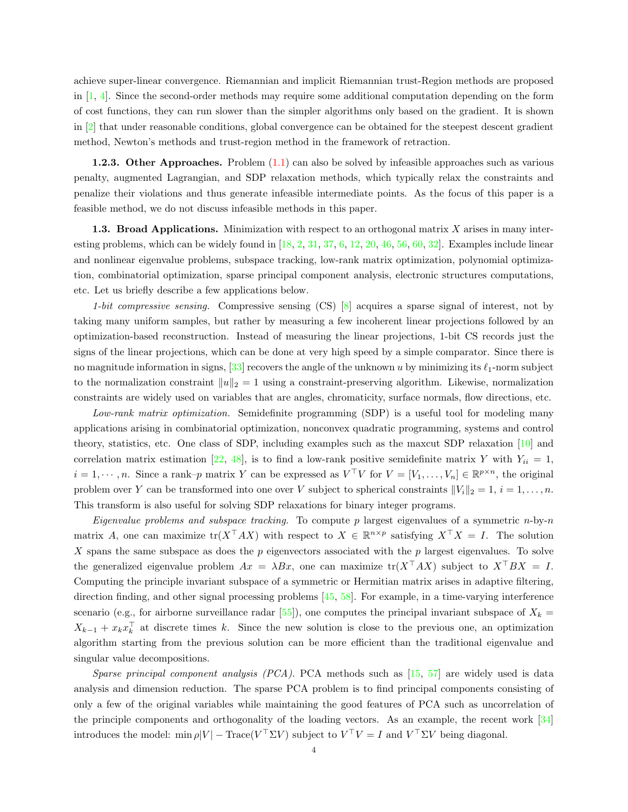achieve super-linear convergence. Riemannian and implicit Riemannian trust-Region methods are proposed in [\[1,](#page-26-1) [4\]](#page-27-1). Since the second-order methods may require some additional computation depending on the form of cost functions, they can run slower than the simpler algorithms only based on the gradient. It is shown in [\[2\]](#page-26-0) that under reasonable conditions, global convergence can be obtained for the steepest descent gradient method, Newton's methods and trust-region method in the framework of retraction.

**1.2.3. Other Approaches.** Problem  $(1.1)$  can also be solved by infeasible approaches such as various penalty, augmented Lagrangian, and SDP relaxation methods, which typically relax the constraints and penalize their violations and thus generate infeasible intermediate points. As the focus of this paper is a feasible method, we do not discuss infeasible methods in this paper.

<span id="page-3-0"></span>1.3. Broad Applications. Minimization with respect to an orthogonal matrix X arises in many interesting problems, which can be widely found in  $[18, 2, 31, 37, 6, 12, 20, 46, 56, 60, 32]$  $[18, 2, 31, 37, 6, 12, 20, 46, 56, 60, 32]$  $[18, 2, 31, 37, 6, 12, 20, 46, 56, 60, 32]$  $[18, 2, 31, 37, 6, 12, 20, 46, 56, 60, 32]$  $[18, 2, 31, 37, 6, 12, 20, 46, 56, 60, 32]$  $[18, 2, 31, 37, 6, 12, 20, 46, 56, 60, 32]$  $[18, 2, 31, 37, 6, 12, 20, 46, 56, 60, 32]$  $[18, 2, 31, 37, 6, 12, 20, 46, 56, 60, 32]$  $[18, 2, 31, 37, 6, 12, 20, 46, 56, 60, 32]$  $[18, 2, 31, 37, 6, 12, 20, 46, 56, 60, 32]$  $[18, 2, 31, 37, 6, 12, 20, 46, 56, 60, 32]$  $[18, 2, 31, 37, 6, 12, 20, 46, 56, 60, 32]$  $[18, 2, 31, 37, 6, 12, 20, 46, 56, 60, 32]$  $[18, 2, 31, 37, 6, 12, 20, 46, 56, 60, 32]$  $[18, 2, 31, 37, 6, 12, 20, 46, 56, 60, 32]$  $[18, 2, 31, 37, 6, 12, 20, 46, 56, 60, 32]$  $[18, 2, 31, 37, 6, 12, 20, 46, 56, 60, 32]$  $[18, 2, 31, 37, 6, 12, 20, 46, 56, 60, 32]$  $[18, 2, 31, 37, 6, 12, 20, 46, 56, 60, 32]$  $[18, 2, 31, 37, 6, 12, 20, 46, 56, 60, 32]$  $[18, 2, 31, 37, 6, 12, 20, 46, 56, 60, 32]$ . Examples include linear and nonlinear eigenvalue problems, subspace tracking, low-rank matrix optimization, polynomial optimization, combinatorial optimization, sparse principal component analysis, electronic structures computations, etc. Let us briefly describe a few applications below.

1-bit compressive sensing. Compressive sensing  $(CS)$  [\[8\]](#page-27-6) acquires a sparse signal of interest, not by taking many uniform samples, but rather by measuring a few incoherent linear projections followed by an optimization-based reconstruction. Instead of measuring the linear projections, 1-bit CS records just the signs of the linear projections, which can be done at very high speed by a simple comparator. Since there is no magnitude information in signs,  $[33]$  recovers the angle of the unknown u by minimizing its  $\ell_1$ -norm subject to the normalization constraint  $||u||_2 = 1$  using a constraint-preserving algorithm. Likewise, normalization constraints are widely used on variables that are angles, chromaticity, surface normals, flow directions, etc.

Low-rank matrix optimization. Semidefinite programming (SDP) is a useful tool for modeling many applications arising in combinatorial optimization, nonconvex quadratic programming, systems and control theory, statistics, etc. One class of SDP, including examples such as the maxcut SDP relaxation [\[10\]](#page-27-7) and correlation matrix estimation [\[22,](#page-28-12) [48\]](#page-29-5), is to find a low-rank positive semidefinite matrix Y with  $Y_{ii} = 1$ ,  $i = 1, \dots, n$ . Since a rank-p matrix Y can be expressed as  $V^{\top}V$  for  $V = [V_1, \dots, V_n] \in \mathbb{R}^{p \times n}$ , the original problem over Y can be transformed into one over V subject to spherical constraints  $||V_i||_2 = 1, i = 1, ..., n$ . This transform is also useful for solving SDP relaxations for binary integer programs.

Eigenvalue problems and subspace tracking. To compute p largest eigenvalues of a symmetric  $n$ -by-n matrix A, one can maximize  $tr(X^{\top}AX)$  with respect to  $X \in \mathbb{R}^{n \times p}$  satisfying  $X^{\top}X = I$ . The solution X spans the same subspace as does the  $p$  eigenvectors associated with the  $p$  largest eigenvalues. To solve the generalized eigenvalue problem  $Ax = \lambda Bx$ , one can maximize  $tr(X^{\top}AX)$  subject to  $X^{\top}BX = I$ . Computing the principle invariant subspace of a symmetric or Hermitian matrix arises in adaptive filtering, direction finding, and other signal processing problems [\[45,](#page-28-13) [58\]](#page-29-6). For example, in a time-varying interference scenario (e.g., for airborne surveillance radar [\[55\]](#page-29-7)), one computes the principal invariant subspace of  $X_k =$  $X_{k-1} + x_k x_k^{\top}$  at discrete times k. Since the new solution is close to the previous one, an optimization algorithm starting from the previous solution can be more efficient than the traditional eigenvalue and singular value decompositions.

Sparse principal component analysis  $(PCA)$ . PCA methods such as [\[15,](#page-27-8) [57\]](#page-29-8) are widely used is data analysis and dimension reduction. The sparse PCA problem is to find principal components consisting of only a few of the original variables while maintaining the good features of PCA such as uncorrelation of the principle components and orthogonality of the loading vectors. As an example, the recent work [\[34\]](#page-28-14) introduces the model:  $\min \rho |V| - \text{Trace}(V^\top \Sigma V)$  subject to  $V^\top V = I$  and  $V^\top \Sigma V$  being diagonal.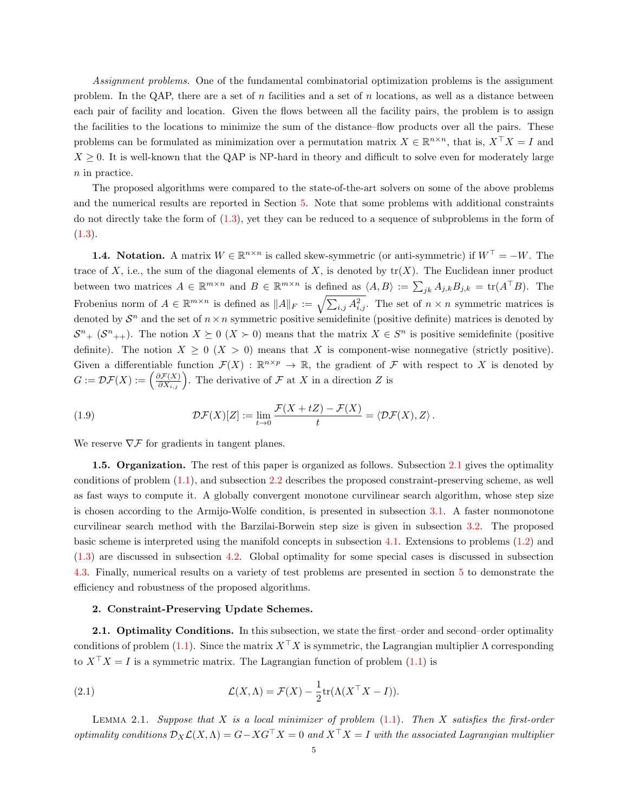Assignment problems. One of the fundamental combinatorial optimization problems is the assignment problem. In the QAP, there are a set of n facilities and a set of n locations, as well as a distance between each pair of facility and location. Given the flows between all the facility pairs, the problem is to assign the facilities to the locations to minimize the sum of the distance–flow products over all the pairs. These problems can be formulated as minimization over a permutation matrix  $X \in \mathbb{R}^{n \times n}$ , that is,  $X^{\top} X = I$  and  $X \geq 0$ . It is well-known that the QAP is NP-hard in theory and difficult to solve even for moderately large n in practice.

The proposed algorithms were compared to the state-of-the-art solvers on some of the above problems and the numerical results are reported in Section [5.](#page-14-0) Note that some problems with additional constraints do not directly take the form of [\(1.3\)](#page-0-2), yet they can be reduced to a sequence of subproblems in the form of  $(1.3).$  $(1.3).$ 

**1.4. Notation.** A matrix  $W \in \mathbb{R}^{n \times n}$  is called skew-symmetric (or anti-symmetric) if  $W^{\top} = -W$ . The trace of X, i.e., the sum of the diagonal elements of X, is denoted by  $tr(X)$ . The Euclidean inner product between two matrices  $A \in \mathbb{R}^{m \times n}$  and  $B \in \mathbb{R}^{m \times n}$  is defined as  $\langle A, B \rangle := \sum_{jk} A_{j,k} B_{j,k} = \text{tr}(A^\top B)$ . The Frobenius norm of  $A \in \mathbb{R}^{m \times n}$  is defined as  $||A||_F := \sqrt{\sum_{i,j} A_{i,j}^2}$ . The set of  $n \times n$  symmetric matrices is denoted by  $S<sup>n</sup>$  and the set of  $n \times n$  symmetric positive semidefinite (positive definite) matrices is denoted by  $S^{n}$  +  $(S^{n}$ ++). The notion  $X \succeq 0$   $(X \succ 0)$  means that the matrix  $X \in S^{n}$  is positive semidefinite (positive definite). The notion  $X \geq 0$  ( $X > 0$ ) means that X is component-wise nonnegative (strictly positive). Given a differentiable function  $\mathcal{F}(X) : \mathbb{R}^{n \times p} \to \mathbb{R}$ , the gradient of  $\mathcal F$  with respect to X is denoted by  $G := \mathcal{DF}(X) := \left(\frac{\partial \mathcal{F}(X)}{\partial X_{i,j}}\right)$ . The derivative of  $\mathcal F$  at  $X$  in a direction  $Z$  is

<span id="page-4-2"></span>(1.9) 
$$
\mathcal{D}\mathcal{F}(X)[Z] := \lim_{t \to 0} \frac{\mathcal{F}(X + tZ) - \mathcal{F}(X)}{t} = \langle \mathcal{D}\mathcal{F}(X), Z \rangle.
$$

We reserve  $\nabla \mathcal{F}$  for gradients in tangent planes.

1.5. Organization. The rest of this paper is organized as follows. Subsection [2.1](#page-4-0) gives the optimality conditions of problem [\(1.1\)](#page-0-0), and subsection [2.2](#page-5-0) describes the proposed constraint-preserving scheme, as well as fast ways to compute it. A globally convergent monotone curvilinear search algorithm, whose step size is chosen according to the Armijo-Wolfe condition, is presented in subsection [3.1.](#page-8-0) A faster nonmonotone curvilinear search method with the Barzilai-Borwein step size is given in subsection [3.2.](#page-10-0) The proposed basic scheme is interpreted using the manifold concepts in subsection [4.1.](#page-11-0) Extensions to problems [\(1.2\)](#page-0-1) and [\(1.3\)](#page-0-2) are discussed in subsection [4.2.](#page-12-0) Global optimality for some special cases is discussed in subsection [4.3.](#page-13-0) Finally, numerical results on a variety of test problems are presented in section [5](#page-14-0) to demonstrate the efficiency and robustness of the proposed algorithms.

## <span id="page-4-3"></span>2. Constraint-Preserving Update Schemes.

<span id="page-4-0"></span>2.1. Optimality Conditions. In this subsection, we state the first–order and second–order optimality conditions of problem [\(1.1\)](#page-0-0). Since the matrix  $X^{\top}X$  is symmetric, the Lagrangian multiplier  $\Lambda$  corresponding to  $X^{\top} X = I$  is a symmetric matrix. The Lagrangian function of problem [\(1.1\)](#page-0-0) is

(2.1) 
$$
\mathcal{L}(X,\Lambda) = \mathcal{F}(X) - \frac{1}{2} \text{tr}(\Lambda (X^\top X - I)).
$$

<span id="page-4-1"></span>LEMMA 2.1. Suppose that  $X$  is a local minimizer of problem  $(1.1)$ . Then  $X$  satisfies the first-order optimality conditions  $\mathcal{D}_X \mathcal{L}(X,\Lambda) = G - XG^{\top}X = 0$  and  $X^{\top}X = I$  with the associated Lagrangian multiplier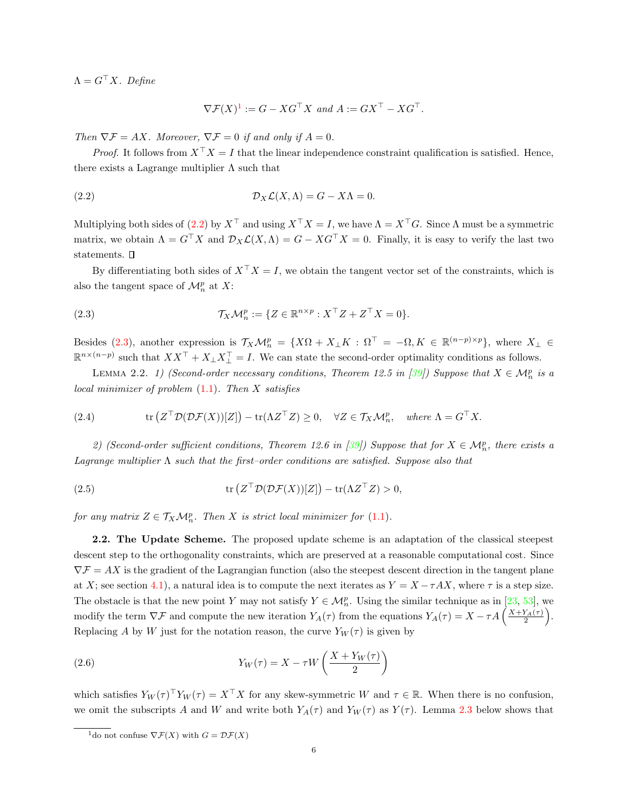$\Lambda = G^{\top} X$ . Define

<span id="page-5-2"></span>
$$
\nabla \mathcal{F}(X)^1 := G - XG^{\top} X \text{ and } A := GX^{\top} - XG^{\top}.
$$

Then  $\nabla \mathcal{F} = AX$ . Moreover,  $\nabla \mathcal{F} = 0$  if and only if  $A = 0$ .

*Proof.* It follows from  $X^{\top} X = I$  that the linear independence constraint qualification is satisfied. Hence, there exists a Lagrange multiplier  $\Lambda$  such that

(2.2) 
$$
\mathcal{D}_X \mathcal{L}(X, \Lambda) = G - X\Lambda = 0.
$$

Multiplying both sides of [\(2.2\)](#page-5-2) by  $X^{\top}$  and using  $X^{\top}X = I$ , we have  $\Lambda = X^{\top}G$ . Since  $\Lambda$  must be a symmetric matrix, we obtain  $\Lambda = G^{\top} X$  and  $\mathcal{D}_X \mathcal{L}(X, \Lambda) = G - X G^{\top} X = 0$ . Finally, it is easy to verify the last two statements.  $\square$ 

<span id="page-5-3"></span>By differentiating both sides of  $X^{\top} X = I$ , we obtain the tangent vector set of the constraints, which is also the tangent space of  $\mathcal{M}_n^p$  at X:

(2.3) 
$$
\mathcal{T}_X \mathcal{M}_n^p := \{ Z \in \mathbb{R}^{n \times p} : X^\top Z + Z^\top X = 0 \}.
$$

Besides [\(2.3\)](#page-5-3), another expression is  $\mathcal{T}_X \mathcal{M}_n^p = \{X\Omega + X_\perp K : \Omega^\top = -\Omega, K \in \mathbb{R}^{(n-p)\times p}\},\$  where  $X_\perp \in$  $\mathbb{R}^{n \times (n-p)}$  such that  $XX^\top + X_\perp X_\perp^\top = I$ . We can state the second-order optimality conditions as follows.

LEMMA 2.2. 1) (Second-order necessary conditions, Theorem 12.5 in [\[39\]](#page-28-15)) Suppose that  $X \in \mathcal{M}_n^p$  is a local minimizer of problem  $(1.1)$ . Then X satisfies

(2.4) 
$$
\operatorname{tr} (Z^{\top} \mathcal{D}(\mathcal{D}F(X))[Z]) - \operatorname{tr}(\Lambda Z^{\top} Z) \geq 0, \quad \forall Z \in \mathcal{T}_X \mathcal{M}_n^p, \quad \text{where } \Lambda = G^{\top} X.
$$

2) (Second-order sufficient conditions, Theorem 12.6 in [\[39\]](#page-28-15)) Suppose that for  $X \in \mathcal{M}_n^p$ , there exists a Lagrange multiplier  $\Lambda$  such that the first-order conditions are satisfied. Suppose also that

(2.5) 
$$
\operatorname{tr}\left(Z^{\top}\mathcal{D}(\mathcal{D}\mathcal{F}(X))[Z]\right) - \operatorname{tr}(\Lambda Z^{\top}Z) > 0,
$$

for any matrix  $Z \in \mathcal{T}_X \mathcal{M}_n^p$ . Then X is strict local minimizer for [\(1.1\)](#page-0-0).

<span id="page-5-0"></span>2.2. The Update Scheme. The proposed update scheme is an adaptation of the classical steepest descent step to the orthogonality constraints, which are preserved at a reasonable computational cost. Since  $\nabla \mathcal{F} = AX$  is the gradient of the Lagrangian function (also the steepest descent direction in the tangent plane at X; see section [4.1\)](#page-11-0), a natural idea is to compute the next iterates as  $Y = X - \tau AX$ , where  $\tau$  is a step size. The obstacle is that the new point Y may not satisfy  $Y \in M_n^p$ . Using the similar technique as in [\[23,](#page-28-0) [53\]](#page-29-9), we modify the term  $\nabla \mathcal{F}$  and compute the new iteration  $Y_A(\tau)$  from the equations  $Y_A(\tau) = X - \tau A \left( \frac{X+Y_A(\tau)}{2} \right)$ . Replacing A by W just for the notation reason, the curve  $Y_W(\tau)$  is given by

<span id="page-5-4"></span>(2.6) 
$$
Y_W(\tau) = X - \tau W\left(\frac{X + Y_W(\tau)}{2}\right)
$$

which satisfies  $Y_W(\tau)^\top Y_W(\tau) = X^\top X$  for any skew-symmetric W and  $\tau \in \mathbb{R}$ . When there is no confusion, we omit the subscripts A and W and write both  $Y_A(\tau)$  and  $Y_W(\tau)$  as  $Y(\tau)$ . Lemma [2.3](#page-6-0) below shows that

<span id="page-5-1"></span><sup>&</sup>lt;sup>1</sup>do not confuse  $\nabla \mathcal{F}(X)$  with  $G = \mathcal{DF}(X)$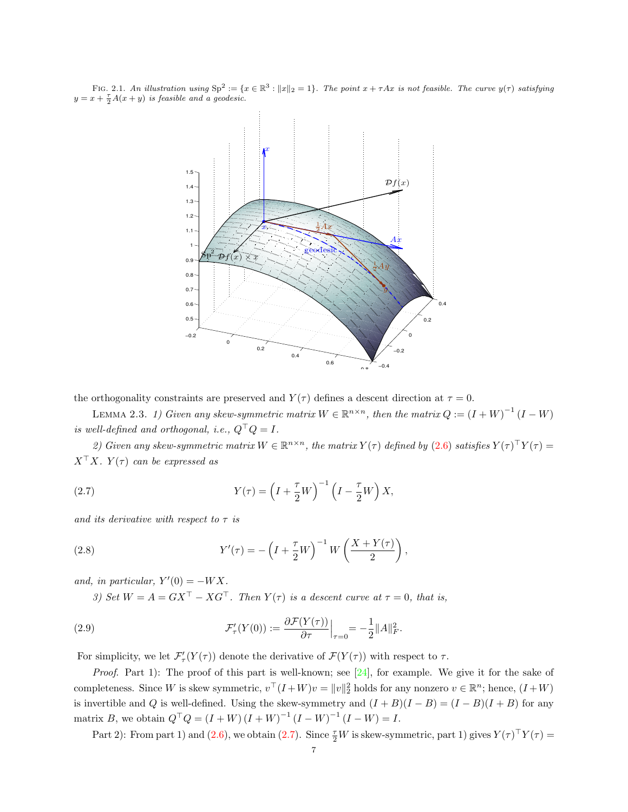FIG. 2.1. An illustration using  $\text{Sp}^2 := \{x \in \mathbb{R}^3 : ||x||_2 = 1\}$ . The point  $x + \tau Ax$  is not feasible. The curve  $y(\tau)$  satisfying  $y = x + \frac{\tau}{2}A(x+y)$  is feasible and a geodesic.



the orthogonality constraints are preserved and  $Y(\tau)$  defines a descent direction at  $\tau = 0$ .

<span id="page-6-0"></span>LEMMA 2.3. 1) Given any skew-symmetric matrix  $W \in \mathbb{R}^{n \times n}$ , then the matrix  $Q := (I + W)^{-1} (I - W)$ is well-defined and orthogonal, i.e.,  $Q^{\top}Q = I$ .

<span id="page-6-1"></span>2) Given any skew-symmetric matrix  $W \in \mathbb{R}^{n \times n}$ , the matrix  $Y(\tau)$  defined by  $(2.6)$  satisfies  $Y(\tau)^\top Y(\tau) =$  $X^{\top}X$ .  $Y(\tau)$  can be expressed as

(2.7) 
$$
Y(\tau) = \left(I + \frac{\tau}{2}W\right)^{-1} \left(I - \frac{\tau}{2}W\right)X,
$$

<span id="page-6-2"></span>and its derivative with respect to  $\tau$  is

(2.8) 
$$
Y'(\tau) = -\left(I + \frac{\tau}{2}W\right)^{-1}W\left(\frac{X + Y(\tau)}{2}\right),
$$

and, in particular,  $Y'(0) = -WX$ .

3) Set  $W = A = GX^{\top} - XG^{\top}$ . Then  $Y(\tau)$  is a descent curve at  $\tau = 0$ , that is,

(2.9) 
$$
\mathcal{F}'_{\tau}(Y(0)) := \frac{\partial \mathcal{F}(Y(\tau))}{\partial \tau}\Big|_{\tau=0} = -\frac{1}{2}||A||_F^2.
$$

For simplicity, we let  $\mathcal{F}'_T(Y(\tau))$  denote the derivative of  $\mathcal{F}(Y(\tau))$  with respect to  $\tau$ .

Proof. Part 1): The proof of this part is well-known; see [\[24\]](#page-28-16), for example. We give it for the sake of completeness. Since W is skew symmetric,  $v^{\top}(I+W)v = ||v||_2^2$  holds for any nonzero  $v \in \mathbb{R}^n$ ; hence,  $(I+W)$ is invertible and Q is well-defined. Using the skew-symmetry and  $(I + B)(I - B) = (I - B)(I + B)$  for any matrix B, we obtain  $Q^{\top} Q = (I + W) (I + W)^{-1} (I - W)^{-1} (I - W) = I$ .

Part 2): From part 1) and [\(2.6\)](#page-5-4), we obtain [\(2.7\)](#page-6-1). Since  $\frac{\tau}{2}W$  is skew-symmetric, part 1) gives  $Y(\tau)^\top Y(\tau) =$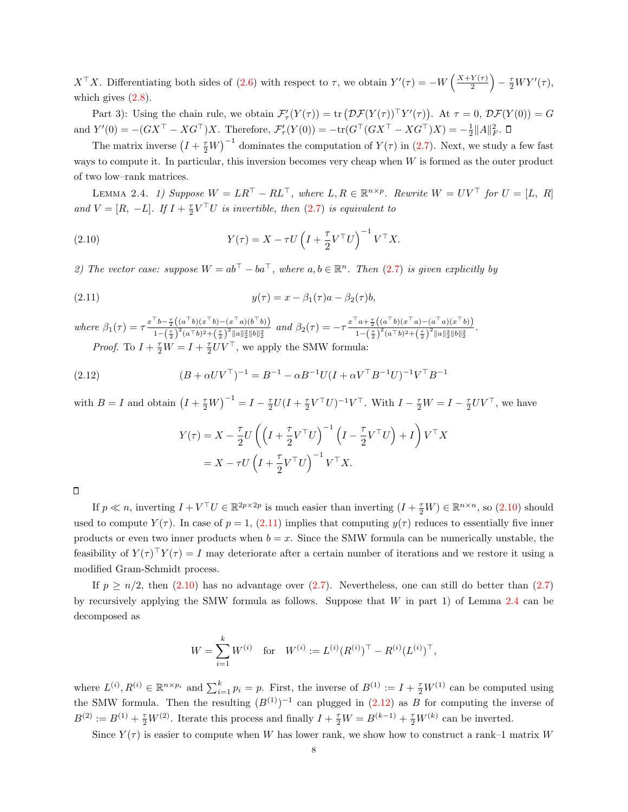$X^{\top}X$ . Differentiating both sides of [\(2.6\)](#page-5-4) with respect to  $\tau$ , we obtain  $Y'(\tau) = -W\left(\frac{X+Y(\tau)}{2}\right)$  $\left(\frac{Y(\tau)}{2}\right) - \frac{\tau}{2} W Y'(\tau),$ which gives  $(2.8)$ .

Part 3): Using the chain rule, we obtain  $\mathcal{F}'_{\tau}(Y(\tau)) = \text{tr}(\mathcal{DF}(Y(\tau))^{\top}Y'(\tau))$ . At  $\tau = 0$ ,  $\mathcal{DF}(Y(0)) = G$ and  $Y'(0) = -(GX^{\top} - XG^{\top})X$ . Therefore,  $\mathcal{F}'_{\tau}(Y(0)) = -\text{tr}(G^{\top}(GX^{\top} - XG^{\top})X) = -\frac{1}{2}||A||_F^2$ .

The matrix inverse  $(I + \frac{\tau}{2}W)^{-1}$  dominates the computation of  $Y(\tau)$  in [\(2.7\)](#page-6-1). Next, we study a few fast ways to compute it. In particular, this inversion becomes very cheap when  $W$  is formed as the outer product of two low–rank matrices.

<span id="page-7-2"></span>LEMMA 2.4. 1) Suppose  $W = LR^{\top} - RL^{\top}$ , where  $L, R \in \mathbb{R}^{n \times p}$ . Rewrite  $W = UV^{\top}$  for  $U = [L, R]$ and  $V = [R, -L]$ . If  $I + \frac{\tau}{2} V^\top U$  is invertible, then [\(2.7\)](#page-6-1) is equivalent to

(2.10) 
$$
Y(\tau) = X - \tau U \left(I + \frac{\tau}{2} V^\top U\right)^{-1} V^\top X.
$$

2) The vector case: suppose  $W = ab^{\top} - ba^{\top}$ , where  $a, b \in \mathbb{R}^n$ . Then [\(2.7\)](#page-6-1) is given explicitly by

(2.11) 
$$
y(\tau) = x - \beta_1(\tau)a - \beta_2(\tau)b,
$$

where  $\beta_1(\tau) = \tau \frac{x^{\top} b - \frac{\tau}{2} \left( (a^{\top} b)(x^{\top} b) - (x^{\top} a)(b^{\top} b) \right)}{x^{\top} \left( x^{\top} b^2 + (x^{\top} b)^2 + (x^{\top} a^2) b^2 + (x^{\top} b^2) \right)}$  $\frac{\pi}{1-\frac{\tau}{2}\left((a^{\top}b)(x^{\top}b)-(x^{\top}a)(b^{\top}b)\right)}$  and  $\beta_2(\tau) = -\tau \frac{x^{\top}a+\frac{\tau}{2}\left((a^{\top}b)(x^{\top}a)-(a^{\top}a)(x^{\top}b)\right)}{1-\left(\frac{\tau}{2}\right)^2(a^{\top}b)^2+\left(\frac{\tau}{2}\right)^2\|a\|_2^2\|b\|_2^2}$  $\frac{a+\frac{1}{2}\left((a-b)(x-a)-(a-a)(x-b)\right)}{1-\left(\frac{\tau}{2}\right)^2(a^{\top}b)^2+\left(\frac{\tau}{2}\right)^2||a||_2^2||b||_2^2}.$ 

*Proof.* To  $I + \frac{\tau}{2}W = I + \frac{\tau}{2}UV^{\top}$ , we apply the SMW formula:

(2.12) 
$$
(B + \alpha UV^\top)^{-1} = B^{-1} - \alpha B^{-1} U (I + \alpha V^\top B^{-1} U)^{-1} V^\top B^{-1}
$$

with  $B = I$  and obtain  $(I + \frac{\tau}{2}W)^{-1} = I - \frac{\tau}{2}U(I + \frac{\tau}{2}V^{\top}U)^{-1}V^{\top}$ . With  $I - \frac{\tau}{2}W = I - \frac{\tau}{2}UV^{\top}$ , we have

<span id="page-7-3"></span><span id="page-7-1"></span><span id="page-7-0"></span>
$$
Y(\tau) = X - \frac{\tau}{2} U \left( \left( I + \frac{\tau}{2} V^\top U \right)^{-1} \left( I - \frac{\tau}{2} V^\top U \right) + I \right) V^\top X
$$
  
=  $X - \tau U \left( I + \frac{\tau}{2} V^\top U \right)^{-1} V^\top X.$ 

If  $p \ll n$ , inverting  $I + V^{\top}U \in \mathbb{R}^{2p \times 2p}$  is much easier than inverting  $(I + \frac{\tau}{2}W) \in \mathbb{R}^{n \times n}$ , so  $(2.10)$  should used to compute  $Y(\tau)$ . In case of  $p = 1$ , [\(2.11\)](#page-7-1) implies that computing  $y(\tau)$  reduces to essentially five inner products or even two inner products when  $b = x$ . Since the SMW formula can be numerically unstable, the feasibility of  $Y(\tau)^\top Y(\tau) = I$  may deteriorate after a certain number of iterations and we restore it using a modified Gram-Schmidt process.

If  $p \geq n/2$ , then [\(2.10\)](#page-7-0) has no advantage over [\(2.7\)](#page-6-1). Nevertheless, one can still do better than (2.7) by recursively applying the SMW formula as follows. Suppose that W in part 1) of Lemma [2.4](#page-7-2) can be decomposed as

$$
W = \sum_{i=1}^{k} W^{(i)} \quad \text{for} \quad W^{(i)} := L^{(i)}(R^{(i)})^{\top} - R^{(i)}(L^{(i)})^{\top},
$$

where  $L^{(i)}, R^{(i)} \in \mathbb{R}^{n \times p_i}$  and  $\sum_{i=1}^k p_i = p$ . First, the inverse of  $B^{(1)} := I + \frac{\tau}{2} W^{(1)}$  can be computed using the SMW formula. Then the resulting  $(B^{(1)})^{-1}$  can plugged in  $(2.12)$  as B for computing the inverse of  $B^{(2)} := B^{(1)} + \frac{\tau}{2}W^{(2)}$ . Iterate this process and finally  $I + \frac{\tau}{2}W = B^{(k-1)} + \frac{\tau}{2}W^{(k)}$  can be inverted.

Since  $Y(\tau)$  is easier to compute when W has lower rank, we show how to construct a rank–1 matrix W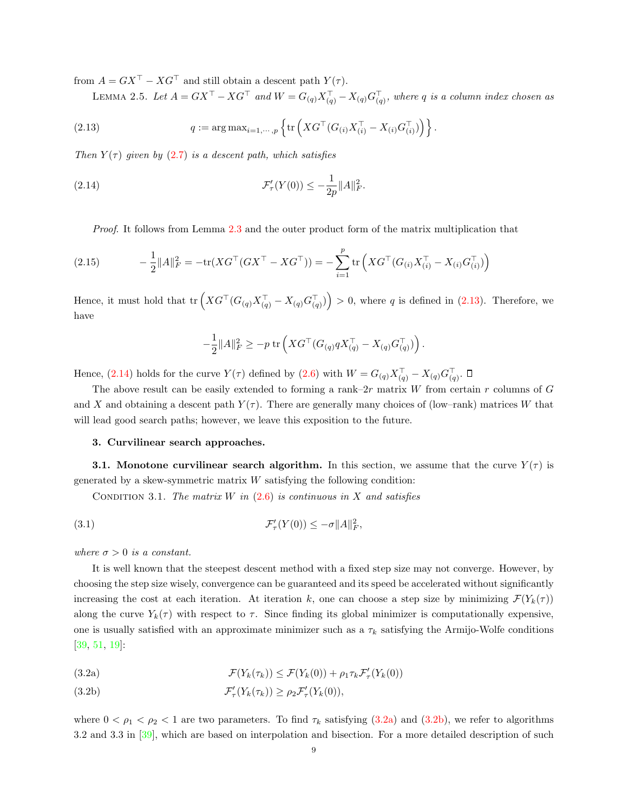from  $A = GX^{\top} - XG^{\top}$  and still obtain a descent path  $Y(\tau)$ .

LEMMA 2.5. Let  $A = GX^{\top} - XG^{\top}$  and  $W = G_{(q)}X_{(q)}^{\top} - X_{(q)}G_{(q)}^{\top}$ , where q is a column index chosen as

(2.13) 
$$
q := \arg \max_{i=1,\dots,p} \left\{ \text{tr} \left( X G^{\top} (G_{(i)} X_{(i)}^{\top} - X_{(i)} G_{(i)}^{\top}) \right) \right\}.
$$

Then  $Y(\tau)$  given by [\(2.7\)](#page-6-1) is a descent path, which satisfies

(2.14) 
$$
\mathcal{F}'_{\tau}(Y(0)) \leq -\frac{1}{2p} ||A||_F^2.
$$

Proof. It follows from Lemma [2.3](#page-6-0) and the outer product form of the matrix multiplication that

(2.15) 
$$
-\frac{1}{2}||A||_F^2 = -\text{tr}(XG^\top(GX^\top - XG^\top)) = -\sum_{i=1}^p \text{tr}\left(XG^\top(G_{(i)}X_{(i)}^\top - X_{(i)}G_{(i)}^\top)\right)
$$

Hence, it must hold that  $tr\left(XG^{\top}(G_{(q)}X_{(q)}^{\top} - X_{(q)}G_{(q)}^{\top})\right) > 0$ , where q is defined in [\(2.13\)](#page-8-1). Therefore, we have

<span id="page-8-4"></span><span id="page-8-2"></span><span id="page-8-1"></span>
$$
-\frac{1}{2}||A||_F^2 \ge -p \operatorname{tr} \left( X G^{\top} (G_{(q)} q X_{(q)}^{\top} - X_{(q)} G_{(q)}^{\top}) \right).
$$

Hence,  $(2.14)$  holds for the curve  $Y(\tau)$  defined by  $(2.6)$  with  $W = G_{(q)} X_{(q)}^{\top} - X_{(q)} G_{(q)}^{\top}$ .

The above result can be easily extended to forming a rank– $2r$  matrix W from certain r columns of G and X and obtaining a descent path  $Y(\tau)$ . There are generally many choices of (low–rank) matrices W that will lead good search paths; however, we leave this exposition to the future.

#### <span id="page-8-5"></span>3. Curvilinear search approaches.

<span id="page-8-0"></span>**3.1.** Monotone curvilinear search algorithm. In this section, we assume that the curve  $Y(\tau)$  is generated by a skew-symmetric matrix  $W$  satisfying the following condition:

CONDITION 3.1. The matrix W in  $(2.6)$  is continuous in X and satisfies

(3.1) 
$$
\mathcal{F}'_{\tau}(Y(0)) \leq -\sigma ||A||_F^2,
$$

where  $\sigma > 0$  is a constant.

It is well known that the steepest descent method with a fixed step size may not converge. However, by choosing the step size wisely, convergence can be guaranteed and its speed be accelerated without significantly increasing the cost at each iteration. At iteration k, one can choose a step size by minimizing  $\mathcal{F}(Y_k(\tau))$ along the curve  $Y_k(\tau)$  with respect to  $\tau$ . Since finding its global minimizer is computationally expensive, one is usually satisfied with an approximate minimizer such as a  $\tau_k$  satisfying the Armijo-Wolfe conditions [\[39,](#page-28-15) [51,](#page-29-10) [19\]](#page-27-9):

<span id="page-8-3"></span>(3.2a) 
$$
\mathcal{F}(Y_k(\tau_k)) \leq \mathcal{F}(Y_k(0)) + \rho_1 \tau_k \mathcal{F}'_\tau(Y_k(0))
$$

(3.2b) 
$$
\mathcal{F}'_{\tau}(Y_k(\tau_k)) \geq \rho_2 \mathcal{F}'_{\tau}(Y_k(0)),
$$

where  $0 < \rho_1 < \rho_2 < 1$  are two parameters. To find  $\tau_k$  satisfying [\(3.2a\)](#page-8-3) and [\(3.2b\)](#page-8-3), we refer to algorithms 3.2 and 3.3 in [\[39\]](#page-28-15), which are based on interpolation and bisection. For a more detailed description of such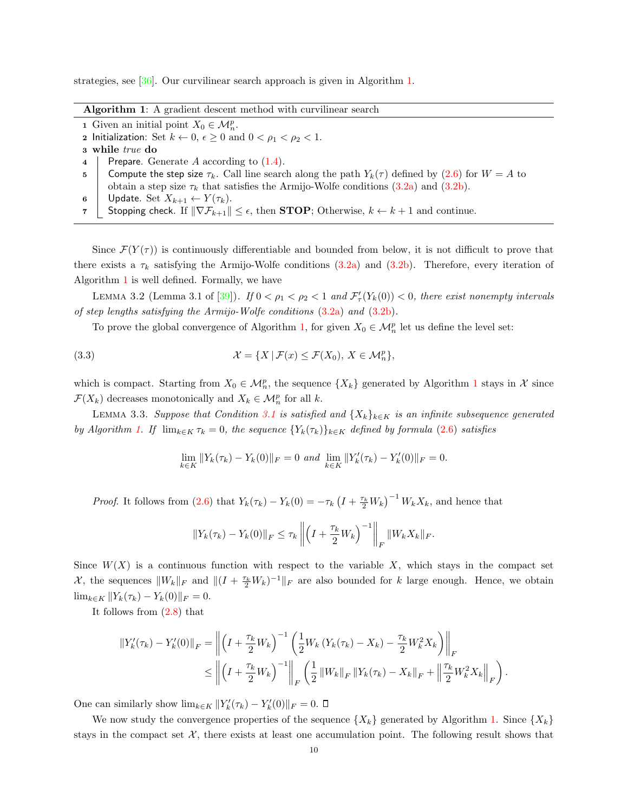<span id="page-9-0"></span>strategies, see [\[36\]](#page-28-17). Our curvilinear search approach is given in Algorithm [1.](#page-9-0)

- 1 Given an initial point  $X_0 \in \mathcal{M}_n^p$ .
- 2 Initialization: Set  $k \leftarrow 0$ ,  $\epsilon \ge 0$  and  $0 < \rho_1 < \rho_2 < 1$ .
- 3 while true do
- 4 | Prepare. Generate A according to  $(1.4)$ .
- 5 Compute the step size  $\tau_k$ . Call line search along the path  $Y_k(\tau)$  defined by [\(2.6\)](#page-5-4) for  $W = A$  to obtain a step size  $\tau_k$  that satisfies the Armijo-Wolfe conditions  $(3.2a)$  and  $(3.2b)$ .
- 6 Update. Set  $X_{k+1} \leftarrow Y(\tau_k)$ .<br>7 Stopping check. If  $\|\nabla \mathcal{F}_{k+1}\|$
- Stopping check. If  $\|\nabla \mathcal{F}_{k+1}\| \leq \epsilon$ , then **STOP**; Otherwise,  $k \leftarrow k+1$  and continue.

Since  $\mathcal{F}(Y(\tau))$  is continuously differentiable and bounded from below, it is not difficult to prove that there exists a  $\tau_k$  satisfying the Armijo-Wolfe conditions [\(3.2a\)](#page-8-3) and [\(3.2b\)](#page-8-3). Therefore, every iteration of Algorithm [1](#page-9-0) is well defined. Formally, we have

<span id="page-9-1"></span>LEMMA 3.2 (Lemma 3.1 of [\[39\]](#page-28-15)). If  $0 < \rho_1 < \rho_2 < 1$  and  $\mathcal{F}'_r(Y_k(0)) < 0$ , there exist nonempty intervals of step lengths satisfying the Armijo-Wolfe conditions [\(3.2a\)](#page-8-3) and [\(3.2b\)](#page-8-3).

To prove the global convergence of Algorithm [1,](#page-9-0) for given  $X_0 \in \mathcal{M}_n^p$  let us define the level set:

(3.3) 
$$
\mathcal{X} = \{ X \mid \mathcal{F}(x) \leq \mathcal{F}(X_0), X \in \mathcal{M}_n^p \},
$$

which is compact. Starting from  $X_0 \in \mathcal{M}_n^p$ , the sequence  $\{X_k\}$  generated by Algorithm [1](#page-9-0) stays in X since  $\mathcal{F}(X_k)$  decreases monotonically and  $X_k \in \mathcal{M}_n^p$  for all k.

LEMMA 3.3. Suppose that Condition [3.1](#page-8-4) is satisfied and  $\{X_k\}_{k\in K}$  is an infinite subsequence generated by Algorithm [1.](#page-9-0) If  $\lim_{k \in K} \tau_k = 0$ , the sequence  $\{Y_k(\tau_k)\}_{k \in K}$  defined by formula [\(2.6\)](#page-5-4) satisfies

<span id="page-9-2"></span>
$$
\lim_{k \in K} ||Y_k(\tau_k) - Y_k(0)||_F = 0 \text{ and } \lim_{k \in K} ||Y'_k(\tau_k) - Y'_k(0)||_F = 0.
$$

*Proof.* It follows from [\(2.6\)](#page-5-4) that  $Y_k(\tau_k) - Y_k(0) = -\tau_k \left( I + \frac{\tau_k}{2} W_k \right)^{-1} W_k X_k$ , and hence that

$$
||Y_k(\tau_k) - Y_k(0)||_F \leq \tau_k \left\| \left(I + \frac{\tau_k}{2} W_k\right)^{-1} \right\|_F ||W_k X_k||_F.
$$

Since  $W(X)$  is a continuous function with respect to the variable X, which stays in the compact set X, the sequences  $||W_k||_F$  and  $||(I + \frac{\tau_k}{2}W_k)^{-1}||_F$  are also bounded for k large enough. Hence, we obtain  $\lim_{k \in K} ||Y_k(\tau_k) - Y_k(0)||_F = 0.$ 

It follows from [\(2.8\)](#page-6-2) that

$$
\begin{split} \|Y_{k}'(\tau_{k}) - Y_{k}'(0)\|_{F} &= \left\| \left(I + \frac{\tau_{k}}{2} W_{k}\right)^{-1} \left(\frac{1}{2} W_{k} \left(Y_{k}(\tau_{k}) - X_{k}\right) - \frac{\tau_{k}}{2} W_{k}^{2} X_{k}\right) \right\|_{F} \\ &\leq \left\| \left(I + \frac{\tau_{k}}{2} W_{k}\right)^{-1} \right\|_{F} \left(\frac{1}{2} \left\|W_{k}\right\|_{F} \left\|Y_{k}(\tau_{k}) - X_{k}\right\|_{F} + \left\|\frac{\tau_{k}}{2} W_{k}^{2} X_{k}\right\|_{F}\right). \end{split}
$$

One can similarly show  $\lim_{k \in K} ||Y'_{k}(\tau_{k}) - Y'_{k}(0)||_{F} = 0.$ 

We now study the convergence properties of the sequence  $\{X_k\}$  generated by Algorithm [1.](#page-9-0) Since  $\{X_k\}$ stays in the compact set  $\mathcal{X}$ , there exists at least one accumulation point. The following result shows that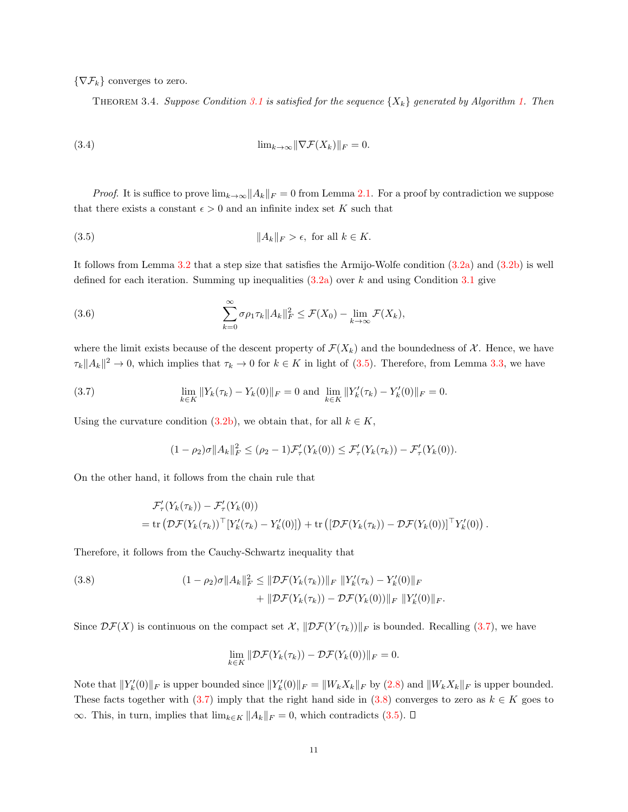$\{\nabla \mathcal{F}_k\}$  converges to zero.

<span id="page-10-1"></span>THEOREM 3.4. Suppose Condition [3.1](#page-8-4) is satisfied for the sequence  $\{X_k\}$  generated by Algorithm [1.](#page-9-0) Then

(3.4) 
$$
\lim_{k \to \infty} \|\nabla \mathcal{F}(X_k)\|_F = 0.
$$

*Proof.* It is suffice to prove  $\lim_{k\to\infty}||A_k||_F = 0$  from Lemma [2.1.](#page-4-1) For a proof by contradiction we suppose that there exists a constant  $\epsilon > 0$  and an infinite index set K such that

(3.5) 
$$
||A_k||_F > \epsilon, \text{ for all } k \in K.
$$

It follows from Lemma [3.2](#page-9-1) that a step size that satisfies the Armijo-Wolfe condition [\(3.2a\)](#page-8-3) and [\(3.2b\)](#page-8-3) is well defined for each iteration. Summing up inequalities  $(3.2a)$  over k and using Condition [3.1](#page-8-4) give

(3.6) 
$$
\sum_{k=0}^{\infty} \sigma \rho_1 \tau_k \|A_k\|_F^2 \leq \mathcal{F}(X_0) - \lim_{k \to \infty} \mathcal{F}(X_k),
$$

where the limit exists because of the descent property of  $\mathcal{F}(X_k)$  and the boundedness of X. Hence, we have  $\tau_k ||A_k||^2 \to 0$ , which implies that  $\tau_k \to 0$  for  $k \in K$  in light of [\(3.5\)](#page-10-1). Therefore, from Lemma [3.3,](#page-9-2) we have

(3.7) 
$$
\lim_{k \in K} ||Y_k(\tau_k) - Y_k(0)||_F = 0 \text{ and } \lim_{k \in K} ||Y'_k(\tau_k) - Y'_k(0)||_F = 0.
$$

Using the curvature condition [\(3.2b\)](#page-8-3), we obtain that, for all  $k \in K$ ,

<span id="page-10-2"></span>
$$
(1 - \rho_2)\sigma ||A_k||_F^2 \leq (\rho_2 - 1)\mathcal{F}'_\tau(Y_k(0)) \leq \mathcal{F}'_\tau(Y_k(\tau_k)) - \mathcal{F}'_\tau(Y_k(0)).
$$

On the other hand, it follows from the chain rule that

$$
\mathcal{F}'_{\tau}(Y_k(\tau_k)) - \mathcal{F}'_{\tau}(Y_k(0))
$$
  
= tr $(\mathcal{DF}(Y_k(\tau_k))^\top [Y'_k(\tau_k) - Y'_k(0)]) + tr([D\mathcal{F}(Y_k(\tau_k)) - D\mathcal{F}(Y_k(0))]^\top Y'_k(0)).$ 

Therefore, it follows from the Cauchy-Schwartz inequality that

(3.8) 
$$
(1 - \rho_2)\sigma \|A_k\|_F^2 \leq \|\mathcal{D}\mathcal{F}(Y_k(\tau_k))\|_F \|Y'_k(\tau_k) - Y'_k(0)\|_F + \|\mathcal{D}\mathcal{F}(Y_k(\tau_k)) - \mathcal{D}\mathcal{F}(Y_k(0))\|_F \|Y'_k(0)\|_F.
$$

Since  $\mathcal{DF}(X)$  is continuous on the compact set  $\mathcal{X}, \|\mathcal{DF}(Y(\tau_k))\|_F$  is bounded. Recalling [\(3.7\)](#page-10-2), we have

<span id="page-10-3"></span>
$$
\lim_{k \in K} \|\mathcal{DF}(Y_k(\tau_k)) - \mathcal{DF}(Y_k(0))\|_F = 0.
$$

<span id="page-10-0"></span>Note that  $||Y_k'(0)||_F$  is upper bounded since  $||Y_k'(0)||_F = ||W_k X_k||_F$  by [\(2.8\)](#page-6-2) and  $||W_k X_k||_F$  is upper bounded. These facts together with [\(3.7\)](#page-10-2) imply that the right hand side in [\(3.8\)](#page-10-3) converges to zero as  $k \in K$  goes to ∞. This, in turn, implies that  $\lim_{k \in K} ||A_k||_F = 0$ , which contradicts [\(3.5\)](#page-10-1). □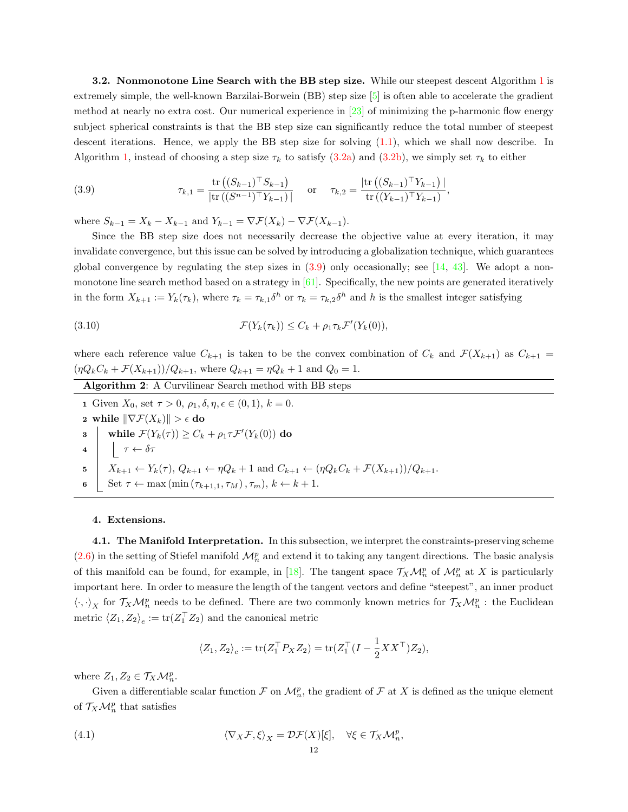**3.2.** Nonmonotone Line Search with the BB step size. While our steepest descent Algorithm [1](#page-9-0) is extremely simple, the well-known Barzilai-Borwein (BB) step size [\[5\]](#page-27-10) is often able to accelerate the gradient method at nearly no extra cost. Our numerical experience in [\[23\]](#page-28-0) of minimizing the p-harmonic flow energy subject spherical constraints is that the BB step size can significantly reduce the total number of steepest descent iterations. Hence, we apply the BB step size for solving [\(1.1\)](#page-0-0), which we shall now describe. In Algorithm [1,](#page-9-0) instead of choosing a step size  $\tau_k$  to satisfy [\(3.2a\)](#page-8-3) and [\(3.2b\)](#page-8-3), we simply set  $\tau_k$  to either

<span id="page-11-1"></span>(3.9) 
$$
\tau_{k,1} = \frac{\text{tr}\left( (S_{k-1})^\top S_{k-1} \right)}{|\text{tr}\left( (S^{n-1})^\top Y_{k-1} \right)|} \text{ or } \tau_{k,2} = \frac{|\text{tr}\left( (S_{k-1})^\top Y_{k-1} \right)|}{\text{tr}\left( (Y_{k-1})^\top Y_{k-1} \right)},
$$

where  $S_{k-1} = X_k - X_{k-1}$  and  $Y_{k-1} = \nabla \mathcal{F}(X_k) - \nabla \mathcal{F}(X_{k-1}).$ 

Since the BB step size does not necessarily decrease the objective value at every iteration, it may invalidate convergence, but this issue can be solved by introducing a globalization technique, which guarantees global convergence by regulating the step sizes in  $(3.9)$  only occasionally; see [\[14,](#page-27-11) [43\]](#page-28-18). We adopt a nonmonotone line search method based on a strategy in  $[61]$ . Specifically, the new points are generated iteratively in the form  $X_{k+1} := Y_k(\tau_k)$ , where  $\tau_k = \tau_{k,1} \delta^h$  or  $\tau_k = \tau_{k,2} \delta^h$  and h is the smallest integer satisfying

(3.10) 
$$
\mathcal{F}(Y_k(\tau_k)) \leq C_k + \rho_1 \tau_k \mathcal{F}'(Y_k(0)),
$$

where each reference value  $C_{k+1}$  is taken to be the convex combination of  $C_k$  and  $\mathcal{F}(X_{k+1})$  as  $C_{k+1}$  =  $(\eta Q_k C_k + \mathcal{F}(X_{k+1}))/Q_{k+1}$ , where  $Q_{k+1} = \eta Q_k + 1$  and  $Q_0 = 1$ .

<span id="page-11-3"></span>Algorithm 2: A Curvilinear Search method with BB steps 1 Given  $X_0$ , set  $\tau > 0$ ,  $\rho_1, \delta, \eta, \epsilon \in (0, 1), k = 0$ . 2 while  $\|\nabla \mathcal{F}(X_k)\| > \epsilon$  do  $\textbf{B} \quad \bigg| \quad \text{while} \; \mathcal{F}(Y_k(\tau)) \geq C_k + \rho_1 \tau \mathcal{F}'(Y_k(0)) \; \text{do}$ 4  $\vert \tau \leftarrow \delta \tau$ 5  $X_{k+1} \leftarrow Y_k(\tau), Q_{k+1} \leftarrow \eta Q_k + 1 \text{ and } C_{k+1} \leftarrow (\eta Q_k C_k + \mathcal{F}(X_{k+1}))/Q_{k+1}.$ Set  $\tau \leftarrow \max(\min(\tau_{k+1,1}, \tau_M), \tau_m), k \leftarrow k+1.$ 

## 4. Extensions.

<span id="page-11-0"></span>4.1. The Manifold Interpretation. In this subsection, we interpret the constraints-preserving scheme  $(2.6)$  in the setting of Stiefel manifold  $\mathcal{M}_n^p$  and extend it to taking any tangent directions. The basic analysis of this manifold can be found, for example, in [\[18\]](#page-27-2). The tangent space  $\mathcal{T}_X \mathcal{M}_n^p$  of  $\mathcal{M}_n^p$  at X is particularly important here. In order to measure the length of the tangent vectors and define "steepest", an inner product  $\langle \cdot, \cdot \rangle_X$  for  $\mathcal{T}_X \mathcal{M}_n^p$  needs to be defined. There are two commonly known metrics for  $\mathcal{T}_X \mathcal{M}_n^p$ : the Euclidean metric  $\langle Z_1, Z_2 \rangle_e := \text{tr}(Z_1^{\top} Z_2)$  and the canonical metric

<span id="page-11-2"></span>
$$
\langle Z_1, Z_2 \rangle_c := \text{tr}(Z_1^\top P_X Z_2) = \text{tr}(Z_1^\top (I - \frac{1}{2}XX^\top) Z_2),
$$

where  $Z_1, Z_2 \in \mathcal{T}_X \mathcal{M}_n^p$ .

Given a differentiable scalar function  $\mathcal F$  on  $\mathcal M_n^p$ , the gradient of  $\mathcal F$  at  $X$  is defined as the unique element of  $\mathcal{T}_X \mathcal{M}_n^p$  that satisfies

(4.1) 
$$
\langle \nabla_X \mathcal{F}, \xi \rangle_X = \mathcal{D}\mathcal{F}(X)[\xi], \quad \forall \xi \in \mathcal{T}_X \mathcal{M}_n^p,
$$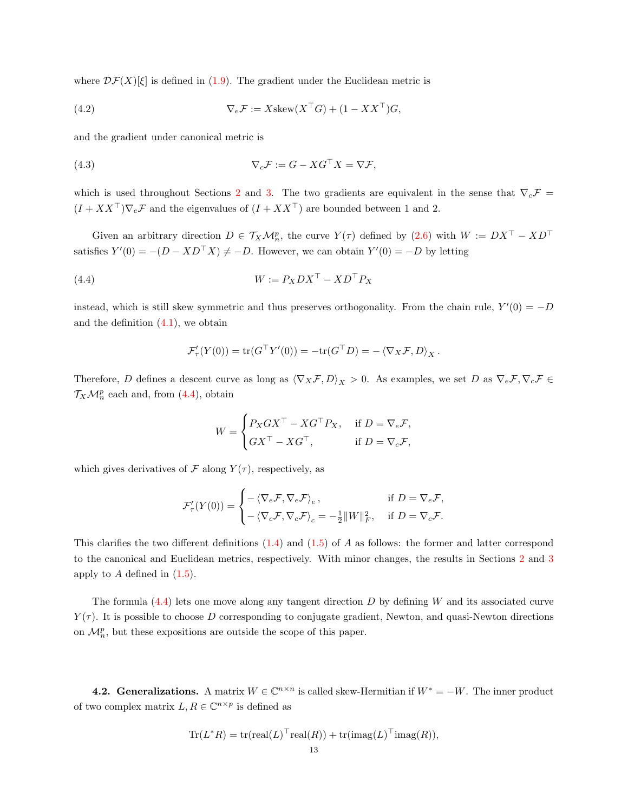where  $\mathcal{DF}(X)[\xi]$  is defined in [\(1.9\)](#page-4-2). The gradient under the Euclidean metric is

(4.2) 
$$
\nabla_e \mathcal{F} := X \text{skew}(X^\top G) + (1 - XX^\top)G,
$$

and the gradient under canonical metric is

(4.3) 
$$
\nabla_c \mathcal{F} := G - X G^{\top} X = \nabla \mathcal{F},
$$

which is used throughout Sections [2](#page-4-3) and [3.](#page-8-5) The two gradients are equivalent in the sense that  $\nabla_c \mathcal{F}$  =  $(I + XX^{\top})\nabla_e \mathcal{F}$  and the eigenvalues of  $(I + XX^{\top})$  are bounded between 1 and 2.

Given an arbitrary direction  $D \in \mathcal{T}_X \mathcal{M}_n^p$ , the curve  $Y(\tau)$  defined by  $(2.6)$  with  $W := DX^{\top} - XD^{\top}$ satisfies  $Y'(0) = -(D - XD^{\top}X) \neq -D$ . However, we can obtain  $Y'(0) = -D$  by letting

(4.4) 
$$
W := P_X DX^\top - XD^\top P_X
$$

instead, which is still skew symmetric and thus preserves orthogonality. From the chain rule,  $Y'(0) = -D$ and the definition  $(4.1)$ , we obtain

<span id="page-12-1"></span>
$$
\mathcal{F}'_{\tau}(Y(0)) = \text{tr}(G^{\top}Y'(0)) = -\text{tr}(G^{\top}D) = -\langle \nabla_X \mathcal{F}, D \rangle_X.
$$

Therefore, D defines a descent curve as long as  $\langle \nabla_X \mathcal{F}, D \rangle_X > 0$ . As examples, we set D as  $\nabla_e \mathcal{F}, \nabla_c \mathcal{F} \in$  $\mathcal{T}_X \mathcal{M}_n^p$  each and, from [\(4.4\)](#page-12-1), obtain

$$
W = \begin{cases} P_X G X^\top - X G^\top P_X, & \text{if } D = \nabla_e \mathcal{F}, \\ G X^\top - X G^\top, & \text{if } D = \nabla_c \mathcal{F}, \end{cases}
$$

which gives derivatives of  $\mathcal F$  along  $Y(\tau)$ , respectively, as

$$
\mathcal{F}'_{\tau}(Y(0)) = \begin{cases}\n-\langle \nabla_e \mathcal{F}, \nabla_e \mathcal{F} \rangle_e, & \text{if } D = \nabla_e \mathcal{F}, \\
-\langle \nabla_c \mathcal{F}, \nabla_c \mathcal{F} \rangle_c = -\frac{1}{2} ||W||_F^2, & \text{if } D = \nabla_c \mathcal{F}.\n\end{cases}
$$

This clarifies the two different definitions  $(1.4)$  and  $(1.5)$  of A as follows: the former and latter correspond to the canonical and Euclidean metrics, respectively. With minor changes, the results in Sections [2](#page-4-3) and [3](#page-8-5) apply to  $A$  defined in  $(1.5)$ .

The formula  $(4.4)$  lets one move along any tangent direction D by defining W and its associated curve  $Y(\tau)$ . It is possible to choose D corresponding to conjugate gradient, Newton, and quasi-Newton directions on  $\mathcal{M}_n^p$ , but these expositions are outside the scope of this paper.

<span id="page-12-0"></span>**4.2. Generalizations.** A matrix  $W \in \mathbb{C}^{n \times n}$  is called skew-Hermitian if  $W^* = -W$ . The inner product of two complex matrix  $L, R \in \mathbb{C}^{n \times p}$  is defined as

$$
Tr(L^*R) = tr(\text{real}(L)^\top \text{real}(R)) + tr(\text{imag}(L)^\top \text{imag}(R)),
$$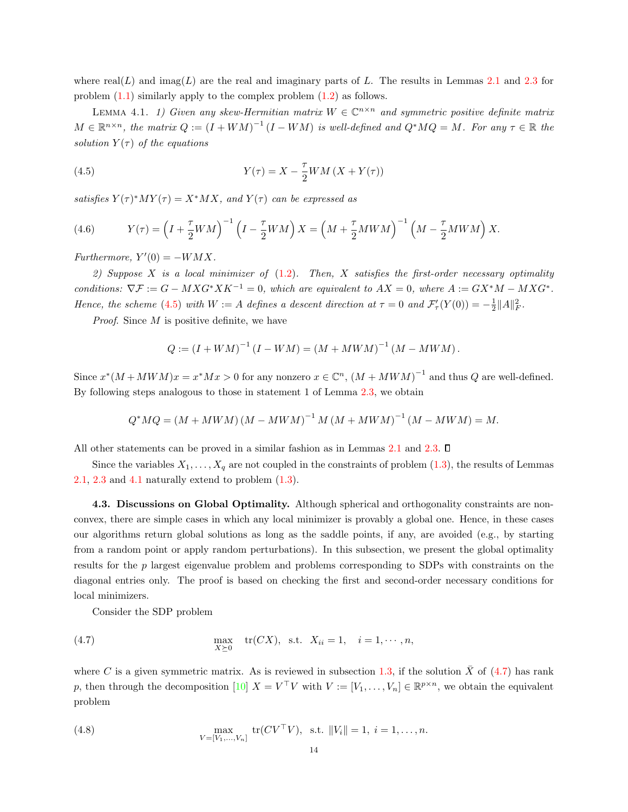where real(L) and imag(L) are the real and imaginary parts of L. The results in Lemmas [2.1](#page-4-1) and [2.3](#page-6-0) for problem  $(1.1)$  similarly apply to the complex problem  $(1.2)$  as follows.

<span id="page-13-2"></span><span id="page-13-1"></span>LEMMA 4.1. 1) Given any skew-Hermitian matrix  $W \in \mathbb{C}^{n \times n}$  and symmetric positive definite matrix  $M \in \mathbb{R}^{n \times n}$ , the matrix  $Q := (I + WM)^{-1} (I - WM)$  is well-defined and  $Q^*MQ = M$ . For any  $\tau \in \mathbb{R}$  the solution  $Y(\tau)$  of the equations

(4.5) 
$$
Y(\tau) = X - \frac{\tau}{2}WM(X + Y(\tau))
$$

satisfies  $Y(\tau)^*MY(\tau) = X^*MX$ , and  $Y(\tau)$  can be expressed as

(4.6) 
$$
Y(\tau) = \left(I + \frac{\tau}{2}WM\right)^{-1} \left(I - \frac{\tau}{2}WM\right)X = \left(M + \frac{\tau}{2}MWM\right)^{-1} \left(M - \frac{\tau}{2}MWM\right)X.
$$

Furthermore,  $Y'(0) = -WMX$ .

2) Suppose X is a local minimizer of  $(1.2)$ . Then, X satisfies the first-order necessary optimality conditions:  $\nabla \mathcal{F} := G - MXG^*XK^{-1} = 0$ , which are equivalent to  $AX = 0$ , where  $A := GX^*M - MXG^*$ . Hence, the scheme [\(4.5\)](#page-13-1) with  $W := A$  defines a descent direction at  $\tau = 0$  and  $\mathcal{F}'_{\tau}(Y(0)) = -\frac{1}{2} ||A||_F^2$ .

Proof. Since M is positive definite, we have

$$
Q := (I + WM)^{-1} (I - WM) = (M + MWM)^{-1} (M - MWM).
$$

Since  $x^*(M+MWM)x = x^*Mx > 0$  for any nonzero  $x \in \mathbb{C}^n$ ,  $(M+MWM)^{-1}$  and thus Q are well-defined. By following steps analogous to those in statement 1 of Lemma [2.3,](#page-6-0) we obtain

$$
Q^*MQ = (M + MWM) (M - MWM)^{-1} M (M + MWM)^{-1} (M - MWM) = M.
$$

All other statements can be proved in a similar fashion as in Lemmas [2.1](#page-4-1) and [2.3.](#page-6-0)  $\Box$ 

Since the variables  $X_1, \ldots, X_q$  are not coupled in the constraints of problem [\(1.3\)](#page-0-2), the results of Lemmas [2.1,](#page-4-1) [2.3](#page-6-0) and [4.1](#page-13-2) naturally extend to problem  $(1.3)$ .

<span id="page-13-0"></span>4.3. Discussions on Global Optimality. Although spherical and orthogonality constraints are nonconvex, there are simple cases in which any local minimizer is provably a global one. Hence, in these cases our algorithms return global solutions as long as the saddle points, if any, are avoided (e.g., by starting from a random point or apply random perturbations). In this subsection, we present the global optimality results for the p largest eigenvalue problem and problems corresponding to SDPs with constraints on the diagonal entries only. The proof is based on checking the first and second-order necessary conditions for local minimizers.

<span id="page-13-3"></span>Consider the SDP problem

(4.7) 
$$
\max_{X \succeq 0} \text{tr}(CX), \text{ s.t. } X_{ii} = 1, \quad i = 1, \cdots, n,
$$

<span id="page-13-4"></span>where C is a given symmetric matrix. As is reviewed in subsection [1.3,](#page-3-0) if the solution  $\bar{X}$  of [\(4.7\)](#page-13-3) has rank p, then through the decomposition [\[10\]](#page-27-7)  $X = V^{\top}V$  with  $V := [V_1, \ldots, V_n] \in \mathbb{R}^{p \times n}$ , we obtain the equivalent problem

(4.8) 
$$
\max_{V = [V_1, ..., V_n]} \text{tr}(CV^\top V), \text{ s.t. } ||V_i|| = 1, i = 1, ..., n.
$$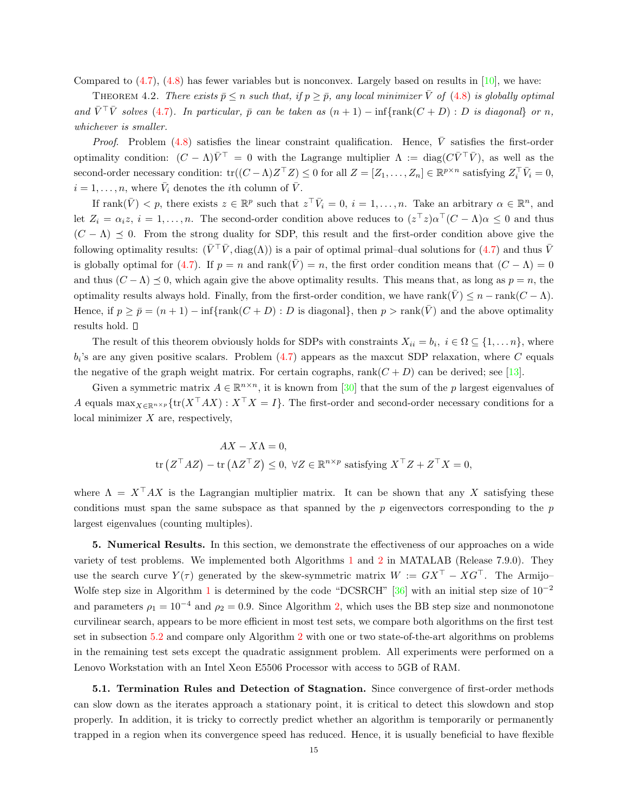Compared to  $(4.7)$ ,  $(4.8)$  has fewer variables but is nonconvex. Largely based on results in [\[10\]](#page-27-7), we have:

<span id="page-14-1"></span>THEOREM 4.2. There exists  $\bar{p} \leq n$  such that, if  $p \geq \bar{p}$ , any local minimizer  $\bar{V}$  of [\(4.8\)](#page-13-4) is globally optimal and  $\overline{V}^{\top}\overline{V}$  solves [\(4.7\)](#page-13-3). In particular,  $\overline{p}$  can be taken as  $(n + 1) - \inf{\text{rank}(C + D) : D \text{ is diagonal}}$  or n, whichever is smaller.

*Proof.* Problem [\(4.8\)](#page-13-4) satisfies the linear constraint qualification. Hence,  $\overline{V}$  satisfies the first-order optimality condition:  $(C - \Lambda)\overline{V}$  = 0 with the Lagrange multiplier  $\Lambda := \text{diag}(C\overline{V}^\top \overline{V})$ , as well as the second-order necessary condition:  $tr((C - \Lambda)Z^{\top}Z) \leq 0$  for all  $Z = [Z_1, \ldots, Z_n] \in \mathbb{R}^{p \times n}$  satisfying  $Z_i^{\top} \overline{V}_i = 0$ ,  $i = 1, \ldots, n$ , where  $\bar{V}_i$  denotes the *i*<sup>th</sup> column of  $\bar{V}$ .

If  $rank(\bar{V}) < p$ , there exists  $z \in \mathbb{R}^p$  such that  $z^{\top} \bar{V}_i = 0$ ,  $i = 1, ..., n$ . Take an arbitrary  $\alpha \in \mathbb{R}^n$ , and let  $Z_i = \alpha_i z$ ,  $i = 1, ..., n$ . The second-order condition above reduces to  $(z^\top z) \alpha^\top (C - \Lambda) \alpha \leq 0$  and thus  $(C - \Lambda) \preceq 0$ . From the strong duality for SDP, this result and the first-order condition above give the following optimality results:  $(\bar{V}^\top \bar{V}, \text{diag}(\Lambda))$  is a pair of optimal primal–dual solutions for [\(4.7\)](#page-13-3) and thus  $\bar{V}$ is globally optimal for [\(4.7\)](#page-13-3). If  $p = n$  and rank( $\overline{V}$ ) = n, the first order condition means that  $(C - \Lambda) = 0$ and thus  $(C - \Lambda) \preceq 0$ , which again give the above optimality results. This means that, as long as  $p = n$ , the optimality results always hold. Finally, from the first-order condition, we have rank( $\overline{V}$ )  $\leq n - \text{rank}(C - \Lambda)$ . Hence, if  $p \ge \bar{p} = (n+1) - \inf \{\text{rank}(C+D) : D \text{ is diagonal}\},\$  then  $p > \text{rank}(\bar{V})$  and the above optimality results hold.  $\square$ 

The result of this theorem obviously holds for SDPs with constraints  $X_{ii} = b_i, i \in \Omega \subseteq \{1, \ldots n\}$ , where  $b_i$ 's are any given positive scalars. Problem  $(4.7)$  appears as the maxcut SDP relaxation, where C equals the negative of the graph weight matrix. For certain cographs,  $rank(C + D)$  can be derived; see [\[13\]](#page-27-12).

Given a symmetric matrix  $A \in \mathbb{R}^{n \times n}$ , it is known from [\[30\]](#page-28-19) that the sum of the p largest eigenvalues of A equals  $\max_{X \in \mathbb{R}^{n \times p}} \{tr(X^{\top}AX) : X^{\top}X = I\}$ . The first-order and second-order necessary conditions for a local minimizer  $X$  are, respectively,

$$
AX - X\Lambda = 0,
$$
  
tr $(Z^{\top} A Z) - tr(\Lambda Z^{\top} Z) \le 0, \ \forall Z \in \mathbb{R}^{n \times p}$  satisfying  $X^{\top} Z + Z^{\top} X = 0$ ,

where  $\Lambda = X^{\top} A X$  is the Lagrangian multiplier matrix. It can be shown that any X satisfying these conditions must span the same subspace as that spanned by the  $p$  eigenvectors corresponding to the  $p$ largest eigenvalues (counting multiples).

<span id="page-14-0"></span>5. Numerical Results. In this section, we demonstrate the effectiveness of our approaches on a wide variety of test problems. We implemented both Algorithms [1](#page-9-0) and [2](#page-11-3) in MATALAB (Release 7.9.0). They use the search curve  $Y(\tau)$  generated by the skew-symmetric matrix  $W := GX^{\top} - XG^{\top}$ . The Armijo-Wolfe step size in Algorithm [1](#page-9-0) is determined by the code "DCSRCH" [\[36\]](#page-28-17) with an initial step size of  $10^{-2}$ and parameters  $\rho_1 = 10^{-4}$  and  $\rho_2 = 0.9$ . Since Algorithm [2,](#page-11-3) which uses the BB step size and nonmonotone curvilinear search, appears to be more efficient in most test sets, we compare both algorithms on the first test set in subsection [5.2](#page-15-0) and compare only Algorithm [2](#page-11-3) with one or two state-of-the-art algorithms on problems in the remaining test sets except the quadratic assignment problem. All experiments were performed on a Lenovo Workstation with an Intel Xeon E5506 Processor with access to 5GB of RAM.

5.1. Termination Rules and Detection of Stagnation. Since convergence of first-order methods can slow down as the iterates approach a stationary point, it is critical to detect this slowdown and stop properly. In addition, it is tricky to correctly predict whether an algorithm is temporarily or permanently trapped in a region when its convergence speed has reduced. Hence, it is usually beneficial to have flexible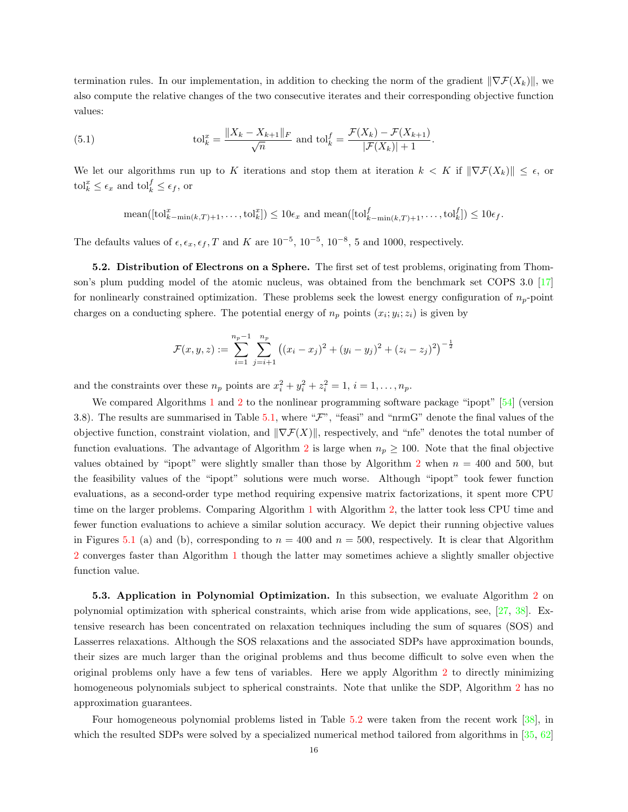termination rules. In our implementation, in addition to checking the norm of the gradient  $\|\nabla \mathcal{F}(X_k)\|$ , we also compute the relative changes of the two consecutive iterates and their corresponding objective function values:

(5.1) 
$$
\text{tol}_{k}^{x} = \frac{\|X_{k} - X_{k+1}\|_{F}}{\sqrt{n}} \text{ and } \text{tol}_{k}^{f} = \frac{\mathcal{F}(X_{k}) - \mathcal{F}(X_{k+1})}{|\mathcal{F}(X_{k})| + 1}.
$$

We let our algorithms run up to K iterations and stop them at iteration  $k < K$  if  $\|\nabla \mathcal{F}(X_k)\| \leq \epsilon$ , or  $\operatorname{tol}_k^x \leq \epsilon_x$  and  $\operatorname{tol}_k^f \leq \epsilon_f$ , or

 $\text{mean}([\text{tol}_{k-\text{min}(k,T)+1}^x, \ldots, \text{tol}_{k}^x]) \leq 10\epsilon_x \text{ and } \text{mean}([\text{tol}_{k-\text{min}(k,T)+1}^f, \ldots, \text{tol}_{k}^f]) \leq 10\epsilon_f.$ 

The defaults values of  $\epsilon, \epsilon_x, \epsilon_f, T$  and K are  $10^{-5}$ ,  $10^{-5}$ ,  $10^{-8}$ , 5 and 1000, respectively.

<span id="page-15-0"></span>5.2. Distribution of Electrons on a Sphere. The first set of test problems, originating from Thomson's plum pudding model of the atomic nucleus, was obtained from the benchmark set COPS 3.0 [\[17\]](#page-27-13) for nonlinearly constrained optimization. These problems seek the lowest energy configuration of  $n_p$ -point charges on a conducting sphere. The potential energy of  $n_p$  points  $(x_i; y_i; z_i)$  is given by

$$
\mathcal{F}(x,y,z) := \sum_{i=1}^{n_p-1} \sum_{j=i+1}^{n_p} \left( (x_i - x_j)^2 + (y_i - y_j)^2 + (z_i - z_j)^2 \right)^{-\frac{1}{2}}
$$

and the constraints over these  $n_p$  points are  $x_i^2 + y_i^2 + z_i^2 = 1$ ,  $i = 1, ..., n_p$ .

We compared Algorithms [1](#page-9-0) and [2](#page-11-3) to the nonlinear programming software package "ipopt" [\[54\]](#page-29-12) (version 3.8). The results are summarised in Table [5.1,](#page-16-0) where " $\mathcal{F}$ ", "feasi" and "nrmG" denote the final values of the objective function, constraint violation, and  $\|\nabla \mathcal{F}(X)\|$ , respectively, and "nfe" denotes the total number of function evaluations. The advantage of Algorithm [2](#page-11-3) is large when  $n_p \geq 100$ . Note that the final objective values obtained by "ipopt" were slightly smaller than those by Algorithm [2](#page-11-3) when  $n = 400$  and 500, but the feasibility values of the "ipopt" solutions were much worse. Although "ipopt" took fewer function evaluations, as a second-order type method requiring expensive matrix factorizations, it spent more CPU time on the larger problems. Comparing Algorithm [1](#page-9-0) with Algorithm [2,](#page-11-3) the latter took less CPU time and fewer function evaluations to achieve a similar solution accuracy. We depict their running objective values in Figures [5.1](#page-16-1) (a) and (b), corresponding to  $n = 400$  and  $n = 500$ , respectively. It is clear that Algorithm [2](#page-11-3) converges faster than Algorithm [1](#page-9-0) though the latter may sometimes achieve a slightly smaller objective function value.

5.3. Application in Polynomial Optimization. In this subsection, we evaluate Algorithm [2](#page-11-3) on polynomial optimization with spherical constraints, which arise from wide applications, see, [\[27,](#page-28-20) [38\]](#page-28-21). Extensive research has been concentrated on relaxation techniques including the sum of squares (SOS) and Lasserres relaxations. Although the SOS relaxations and the associated SDPs have approximation bounds, their sizes are much larger than the original problems and thus become difficult to solve even when the original problems only have a few tens of variables. Here we apply Algorithm [2](#page-11-3) to directly minimizing homogeneous polynomials subject to spherical constraints. Note that unlike the SDP, Algorithm [2](#page-11-3) has no approximation guarantees.

Four homogeneous polynomial problems listed in Table [5.2](#page-17-0) were taken from the recent work [\[38\]](#page-28-21), in which the resulted SDPs were solved by a specialized numerical method tailored from algorithms in [\[35,](#page-28-22) [62\]](#page-29-13)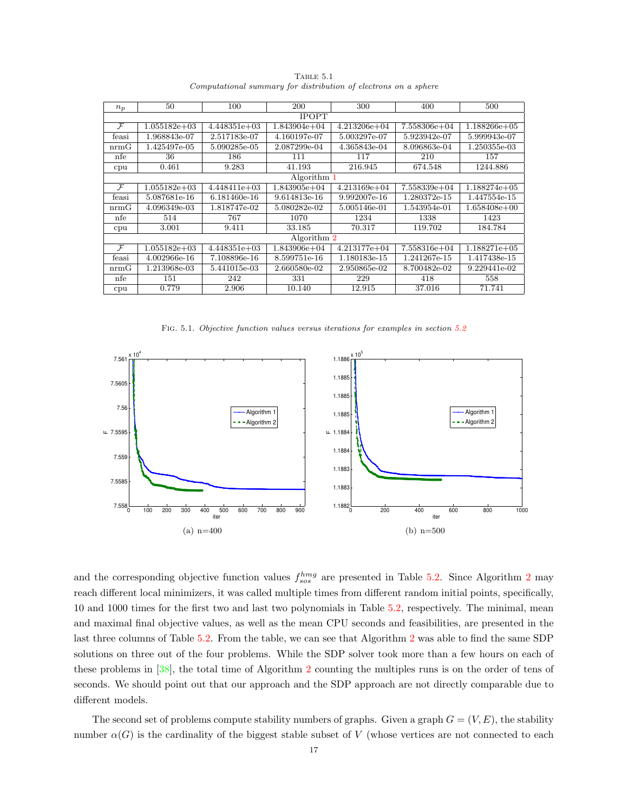| $n_p$         | 50             | 100            | 200              | 300              | 400              | 500            |  |  |  |  |
|---------------|----------------|----------------|------------------|------------------|------------------|----------------|--|--|--|--|
|               |                |                | <b>IPOPT</b>     |                  |                  |                |  |  |  |  |
| $\mathcal{F}$ | $1.055182e+03$ | $4.448351e+03$ | $1.843904e+04$   | $4.213206e + 04$ | $7.558306e + 04$ | $1.188266e+05$ |  |  |  |  |
| feasi         | 1.968843e-07   | 2.517183e-07   | 4.160197e-07     | 5.003297e-07     | 5.923942e-07     | 5.999943e-07   |  |  |  |  |
| nrmG          | 1.425497e-05   | 5.090285e-05   | 2.087299e-04     | 4.365843e-04     | 8.096863e-04     | 1.250355e-03   |  |  |  |  |
| nfe           | 36             | 186            | 111              | 117              | 210              | 157            |  |  |  |  |
| cpu           | 0.461          | 9.283          | 41.193           | 216.945          | 674.548          | 1244.886       |  |  |  |  |
| Algorithm 1   |                |                |                  |                  |                  |                |  |  |  |  |
| $\mathcal{F}$ | $1.055182e+03$ | $4.448411e+03$ | $1.843905e+04$   | $4.213169e + 04$ | 7.558339e+04     | $1.188274e+05$ |  |  |  |  |
| feasi         | 5.087681e-16   | 6.181460e-16   | 9.614813e-16     | 9.992007e-16     | 1.280372e-15     | 1.447554e-15   |  |  |  |  |
| nrmG          | 4.096349e-03   | 1.818747e-02   | 5.080282e-02     | 5.005146e-01     | 1.543954e-01     | $1.658408e+00$ |  |  |  |  |
| nfe           | 514            | 767            | 1070             | 1234             | 1338             | 1423           |  |  |  |  |
| cpu           | 3.001          | 9.411          | 33.185           | 70.317           | 119.702          | 184.784        |  |  |  |  |
|               |                |                | Algorithm 2      |                  |                  |                |  |  |  |  |
| $\mathcal{F}$ | $1.055182e+03$ | $4.448351e+03$ | $1.843906e + 04$ | $4.213177e+04$   | $7.558316e + 04$ | $1.188271e+05$ |  |  |  |  |
| feasi         | 4.002966e-16   | 7.108896e-16   | 8.599751e-16     | 1.180183e-15     | 1.241267e-15     | 1.417438e-15   |  |  |  |  |
| nrmG          | 1.213968e-03   | 5.441015e-03   | 2.660580e-02     | 2.950865e-02     | 8.700482e-02     | 9.229441e-02   |  |  |  |  |
| nfe           | 151            | 242            | 331              | 229              | 418              | 558            |  |  |  |  |
| cpu           | 0.779          | 2.906          | 10.140           | 12.915           | 37.016           | 71.741         |  |  |  |  |

<span id="page-16-0"></span>TABLE 5.1 Computational summary for distribution of electrons on a sphere

<span id="page-16-1"></span>FIG. 5.1. Objective function values versus iterations for examples in section [5.2](#page-15-0)



and the corresponding objective function values  $f_{sos}^{hmg}$  are presented in Table [5.2.](#page-17-0) Since Algorithm [2](#page-11-3) may reach different local minimizers, it was called multiple times from different random initial points, specifically, 10 and 1000 times for the first two and last two polynomials in Table [5.2,](#page-17-0) respectively. The minimal, mean and maximal final objective values, as well as the mean CPU seconds and feasibilities, are presented in the last three columns of Table [5.2.](#page-17-0) From the table, we can see that Algorithm [2](#page-11-3) was able to find the same SDP solutions on three out of the four problems. While the SDP solver took more than a few hours on each of these problems in [\[38\]](#page-28-21), the total time of Algorithm [2](#page-11-3) counting the multiples runs is on the order of tens of seconds. We should point out that our approach and the SDP approach are not directly comparable due to different models.

The second set of problems compute stability numbers of graphs. Given a graph  $G = (V, E)$ , the stability number  $\alpha(G)$  is the cardinality of the biggest stable subset of V (whose vertices are not connected to each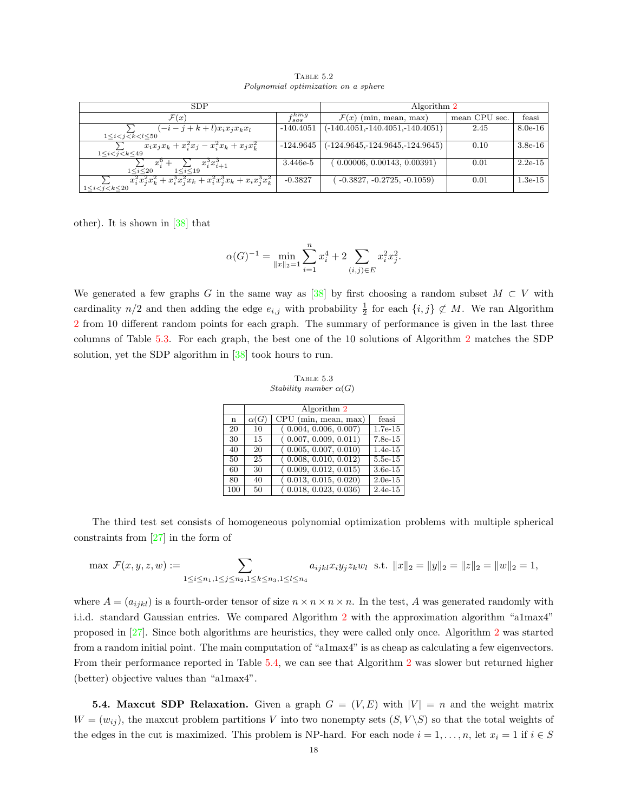| <b>SDP</b>                                                            | Algorithm 2     |                                   |               |           |  |  |
|-----------------------------------------------------------------------|-----------------|-----------------------------------|---------------|-----------|--|--|
| $\mathcal{F}(x)$                                                      | $f_{sos}^{hmg}$ | $\mathcal{F}(x)$ (min, mean, max) | mean CPU sec. | feasi     |  |  |
| $(-i-j+k+l)x_ix_ix_kx_l$                                              | $-140.4051$     | $(-140.4051,-140.4051,-140.4051)$ | 2.45          | $8.0e-16$ |  |  |
| $1 \le i \le i \le k \le l \le 50$                                    |                 |                                   |               |           |  |  |
| $x_i x_j x_k + x_i^2 x_j - x_i^2 x_k + x_j x_k^2$                     | $-124.9645$     | $(-124.9645,-124.9645,-124.9645)$ | 0.10          | $3.8e-16$ |  |  |
| $1 \le i \le j \le k \le 49$                                          |                 |                                   |               |           |  |  |
| $x_i^3x_{i+1}^3$<br>$x_i^0$ +<br>$1 \le i \le 20$<br>$1 \le i \le 19$ | 3.446e-5        | 0.00006, 0.00143, 0.00391)        | 0.01          | $2.2e-15$ |  |  |
|                                                                       |                 |                                   |               |           |  |  |
| $x_i^2x_j^2x_k^2+x_i^3x_j^2x_k+x_i^2x_j^3x_k+x_ix_j^3x_k^2$           | $-0.3827$       | $-0.3827, -0.2725, -0.1059$       | 0.01          | $1.3e-15$ |  |  |
| $1 \le i \le i \le k \le 20$                                          |                 |                                   |               |           |  |  |

<span id="page-17-0"></span>TABLE 5.2 Polynomial optimization on a sphere

other). It is shown in [\[38\]](#page-28-21) that

$$
\alpha(G)^{-1} = \min_{\|x\|_2 = 1} \sum_{i=1}^n x_i^4 + 2 \sum_{(i,j) \in E} x_i^2 x_j^2.
$$

We generated a few graphs G in the same way as [\[38\]](#page-28-21) by first choosing a random subset  $M \subset V$  with cardinality  $n/2$  and then adding the edge  $e_{i,j}$  with probability  $\frac{1}{2}$  for each  $\{i,j\} \not\subset M$ . We ran Algorithm [2](#page-11-3) from 10 different random points for each graph. The summary of performance is given in the last three columns of Table [5.3.](#page-17-1) For each graph, the best one of the 10 solutions of Algorithm [2](#page-11-3) matches the SDP solution, yet the SDP algorithm in [\[38\]](#page-28-21) took hours to run.

<span id="page-17-1"></span>Table 5.3 Stability number  $\alpha(G)$ 

|     |             | Algorithm 2                              |           |  |  |  |  |  |  |  |  |
|-----|-------------|------------------------------------------|-----------|--|--|--|--|--|--|--|--|
| n   | $\alpha(G)$ | $\overline{\text{CPU (min, mean, max)}}$ | feasi     |  |  |  |  |  |  |  |  |
| 20  | 10          | (0.004, 0.006, 0.007)                    | $1.7e-15$ |  |  |  |  |  |  |  |  |
| 30  | 15          | (0.007, 0.009, 0.011)                    | $7.8e-15$ |  |  |  |  |  |  |  |  |
| 40  | 20          | (0.005, 0.007, 0.010)                    | $1.4e-15$ |  |  |  |  |  |  |  |  |
| 50  | 25          | (0.008, 0.010, 0.012)                    | $5.5e-15$ |  |  |  |  |  |  |  |  |
| 60  | 30          | (0.009, 0.012, 0.015)                    | $3.6e-15$ |  |  |  |  |  |  |  |  |
| 80  | 40          | (0.013, 0.015, 0.020)                    | $2.0e-15$ |  |  |  |  |  |  |  |  |
| 100 | 50          | (0.018, 0.023, 0.036)                    | $2.4e-15$ |  |  |  |  |  |  |  |  |

The third test set consists of homogeneous polynomial optimization problems with multiple spherical constraints from [\[27\]](#page-28-20) in the form of

$$
\max \mathcal{F}(x, y, z, w) := \sum_{1 \leq i \leq n_1, 1 \leq j \leq n_2, 1 \leq k \leq n_3, 1 \leq l \leq n_4} a_{ijkl} x_i y_j z_k w_l \text{ s.t. } ||x||_2 = ||y||_2 = ||z||_2 = ||w||_2 = 1,
$$

where  $A = (a_{ijkl})$  is a fourth-order tensor of size  $n \times n \times n \times n$ . In the test, A was generated randomly with i.i.d. standard Gaussian entries. We compared Algorithm [2](#page-11-3) with the approximation algorithm "a1max4" proposed in [\[27\]](#page-28-20). Since both algorithms are heuristics, they were called only once. Algorithm [2](#page-11-3) was started from a random initial point. The main computation of "a1max4" is as cheap as calculating a few eigenvectors. From their performance reported in Table [5.4,](#page-18-0) we can see that Algorithm [2](#page-11-3) was slower but returned higher (better) objective values than "a1max4".

<span id="page-17-2"></span>**5.4. Maxcut SDP Relaxation.** Given a graph  $G = (V, E)$  with  $|V| = n$  and the weight matrix  $W = (w_{ij})$ , the maxcut problem partitions V into two nonempty sets  $(S, V \backslash S)$  so that the total weights of the edges in the cut is maximized. This problem is NP-hard. For each node  $i = 1, \ldots, n$ , let  $x_i = 1$  if  $i \in S$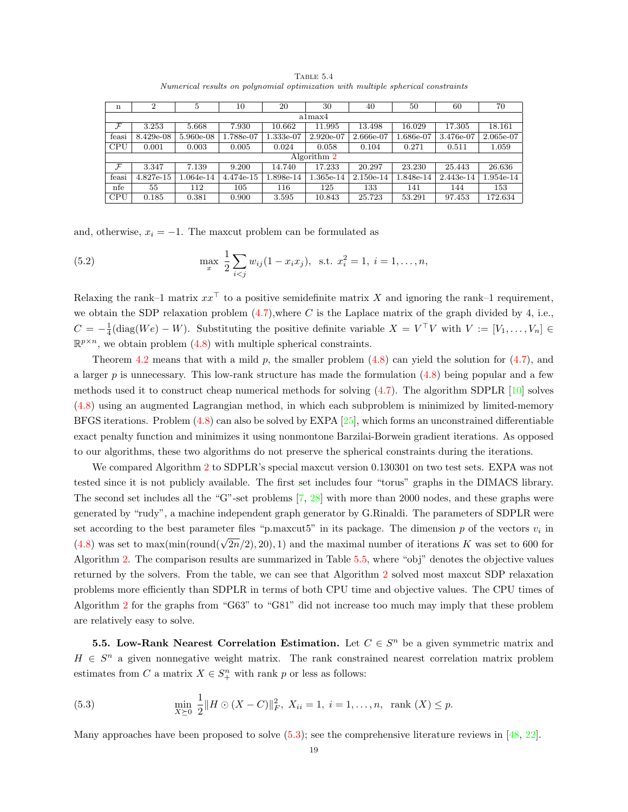<span id="page-18-0"></span>

|                                                                                  | TABLE 5.4 |  |  |
|----------------------------------------------------------------------------------|-----------|--|--|
| Numerical results on polynomial optimization with multiple spherical constraints |           |  |  |

| $\mathbf n$   | $\overline{2}$ | 5         | 10        | 20        | 30          | 40        | 50        | 60        | 70        |  |  |
|---------------|----------------|-----------|-----------|-----------|-------------|-----------|-----------|-----------|-----------|--|--|
| a1max4        |                |           |           |           |             |           |           |           |           |  |  |
| $\mathcal{F}$ | 3.253          | 5.668     | 7.930     | 10.662    | 11.995      | 13.498    | 16.029    | 17.305    | 18.161    |  |  |
| feasi         | 8.429e-08      | 5.960e-08 | 1.788e-07 | 1.333e-07 | 2.920e-07   | 2.666e-07 | 1.686e-07 | 3.476e-07 | 2.065e-07 |  |  |
| <b>CPU</b>    | 0.001          | 0.003     | 0.005     | 0.024     | 0.058       | 0.104     | 0.271     | 0.511     | 1.059     |  |  |
|               |                |           |           |           | Algorithm 2 |           |           |           |           |  |  |
| $\mathcal{F}$ | 3.347          | 7.139     | 9.200     | 14.740    | 17.233      | 20.297    | 23.230    | 25.443    | 26.636    |  |  |
| feasi         | 4.827e-15      | 1.064e-14 | 4.474e-15 | .898e-14  | 1.365e-14   | 2.150e-14 | 1.848e-14 | 2.443e-14 | 1.954e-14 |  |  |
| nfe           | 55             | 112       | 105       | 116       | 125         | 133       | 141       | 144       | 153       |  |  |
| <b>CPU</b>    | 0.185          | 0.381     | 0.900     | 3.595     | 10.843      | 25.723    | 53.291    | 97.453    | 172.634   |  |  |

and, otherwise,  $x_i = -1$ . The maxcut problem can be formulated as

(5.2) 
$$
\max_{x} \frac{1}{2} \sum_{i < j} w_{ij} (1 - x_i x_j), \text{ s.t. } x_i^2 = 1, \ i = 1, \dots, n,
$$

Relaxing the rank–1 matrix  $xx^{\top}$  to a positive semidefinite matrix X and ignoring the rank–1 requirement, we obtain the SDP relaxation problem  $(4.7)$ , where C is the Laplace matrix of the graph divided by 4, i.e.,  $C = -\frac{1}{4}(\text{diag}(We) - W)$ . Substituting the positive definite variable  $X = V^{\top}V$  with  $V := [V_1, \ldots, V_n] \in$  $\mathbb{R}^{p \times n}$ , we obtain problem [\(4.8\)](#page-13-4) with multiple spherical constraints.

Theorem [4.2](#page-14-1) means that with a mild p, the smaller problem  $(4.8)$  can yield the solution for  $(4.7)$ , and a larger p is unnecessary. This low-rank structure has made the formulation [\(4.8\)](#page-13-4) being popular and a few methods used it to construct cheap numerical methods for solving [\(4.7\)](#page-13-3). The algorithm SDPLR [\[10\]](#page-27-7) solves [\(4.8\)](#page-13-4) using an augmented Lagrangian method, in which each subproblem is minimized by limited-memory BFGS iterations. Problem  $(4.8)$  can also be solved by EXPA  $[25]$ , which forms an unconstrained differentiable exact penalty function and minimizes it using nonmontone Barzilai-Borwein gradient iterations. As opposed to our algorithms, these two algorithms do not preserve the spherical constraints during the iterations.

We compared Algorithm [2](#page-11-3) to SDPLR's special maxcut version 0.130301 on two test sets. EXPA was not tested since it is not publicly available. The first set includes four "torus" graphs in the DIMACS library. The second set includes all the "G"-set problems [\[7,](#page-27-14) [28\]](#page-28-24) with more than 2000 nodes, and these graphs were generated by "rudy", a machine independent graph generator by G.Rinaldi. The parameters of SDPLR were set according to the best parameter files "p.maxcut5" in its package. The dimension p of the vectors  $v_i$  in [\(4.8\)](#page-13-4) was set to max(min(round( $\sqrt{2n}/2$ ), 20), 1) and the maximal number of iterations K was set to 600 for Algorithm [2.](#page-11-3) The comparison results are summarized in Table [5.5,](#page-19-0) where "obj" denotes the objective values returned by the solvers. From the table, we can see that Algorithm [2](#page-11-3) solved most maxcut SDP relaxation problems more efficiently than SDPLR in terms of both CPU time and objective values. The CPU times of Algorithm [2](#page-11-3) for the graphs from "G63" to "G81" did not increase too much may imply that these problem are relatively easy to solve.

<span id="page-18-1"></span>**5.5. Low-Rank Nearest Correlation Estimation.** Let  $C \in S<sup>n</sup>$  be a given symmetric matrix and  $H \in S<sup>n</sup>$  a given nonnegative weight matrix. The rank constrained nearest correlation matrix problem estimates from C a matrix  $X \in S^n_+$  with rank p or less as follows:

(5.3) 
$$
\min_{X \succeq 0} \frac{1}{2} \| H \odot (X - C) \|_F^2, \ X_{ii} = 1, \ i = 1, \dots, n, \ \text{rank} (X) \leq p.
$$

Many approaches have been proposed to solve [\(5.3\)](#page-18-1); see the comprehensive literature reviews in [\[48,](#page-29-5) [22\]](#page-28-12).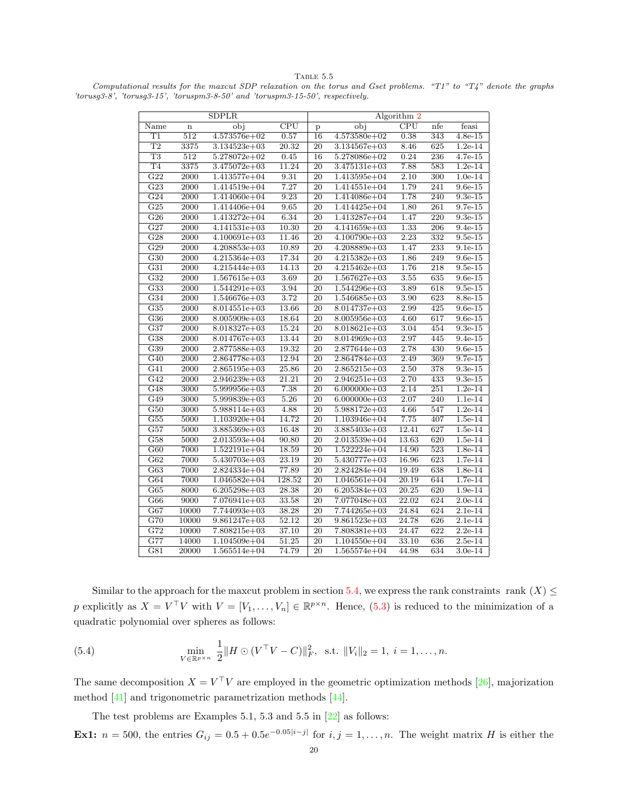TABLE  $5.5$ 

<span id="page-19-0"></span>Computational results for the maxcut SDP relaxation on the torus and Gset problems. "T1" to "T4" denote the graphs 'torusg3-8', 'torusg3-15', 'toruspm3-8-50' and 'toruspm3-15-50', respectively.

|                        |                   | <b>SDPLR</b>     |                         | Algorithm 2     |                  |                         |                  |                       |  |  |
|------------------------|-------------------|------------------|-------------------------|-----------------|------------------|-------------------------|------------------|-----------------------|--|--|
| Name                   | $\mathbf n$       | obj              | $\overline{\text{CPU}}$ | p               | obj              | $\overline{\text{CPU}}$ | nfe              | feasi                 |  |  |
| T1                     | 512               | 4.573576e+02     | 0.57                    | 16              | $4.573580e + 02$ | 0.38                    | 343              | $4.8e-15$             |  |  |
| T2                     | 3375              | $3.134523e + 03$ | 20.32                   | $\overline{20}$ | $3.134567e + 03$ | 8.46                    | 625              | $1.2e-14$             |  |  |
| $\overline{\text{T3}}$ | $\overline{512}$  | $5.278072e+02$   | 0.45                    | 16              | $5.278086e + 02$ | 0.24                    | 236              | $4.7e-15$             |  |  |
| T <sub>4</sub>         | 3375              | $3.475072e+03$   | 11.24                   | 20              | 3.475131e+03     | 7.88                    | 583              | $1.2e-14$             |  |  |
| $\overline{G22}$       | 2000              | 1.413577e+04     | 9.31                    | $\overline{20}$ | 1.413595e+04     | $\overline{2.10}$       | 300              | $1.0e-14$             |  |  |
| $\overline{G23}$       | $\overline{2000}$ | $1.414519e + 04$ | 7.27                    | $\overline{20}$ | $1.414551e + 04$ | 1.79                    | 241              | $9.6e-15$             |  |  |
| G24                    | 2000              | $1.414060e + 04$ | 9.23                    | 20              | 1.414086e+04     | 1.78                    | 240              | $\overline{9.3e}$ -15 |  |  |
| $\overline{G25}$       | 2000              | $1.414406e + 04$ | 9.65                    | 20              | $1.414425e+04$   | 1.80                    | 261              | 9.7e-15               |  |  |
| $\overline{G26}$       | 2000              | $1.413272e+04$   | 6.34                    | $\overline{20}$ | $1.413287e+04$   | 1.47                    | 220              | $9.3e-15$             |  |  |
| $\overline{G27}$       | 2000              | $4.141531e+03$   | $\overline{10.30}$      | $\overline{20}$ | $4.141659e + 03$ | 1.33                    | $\overline{206}$ | $9.4e-15$             |  |  |
| $\overline{G28}$       | 2000              | $4.100691e+03$   | 11.46                   | 20              | $4.100790e + 03$ | 2.23                    | 332              | $9.5e-15$             |  |  |
| G29                    | 2000              | $4.208853e+03$   | 10.89                   | 20              | $4.208889e+03$   | 1.47                    | 233              | $9.1e-15$             |  |  |
| $\overline{G30}$       | 2000              | $4.215364e+03$   | 17.34                   | 20              | $4.215382e+03$   | 1.86                    | 249              | $9.6e-15$             |  |  |
| $\overline{G31}$       | 2000              | $4.215444e+03$   | 14.13                   | 20              | $4.215462e+03$   | 1.76                    | 218              | $9.5e-15$             |  |  |
| $\overline{G32}$       | 2000              | $1.567615e+03$   | 3.69                    | 20              | $1.567627e+03$   | 3.55                    | 635              | $9.6e-15$             |  |  |
| $\overline{G33}$       | 2000              | $1.544291e+03$   | 3.94                    | $\overline{20}$ | $1.544296e + 03$ | 3.89                    | 618              | $9.5e-15$             |  |  |
| G34                    | 2000              | $1.546676e + 03$ | 3.72                    | 20              | $1.546685e+03$   | 3.90                    | 623              | 8.8e-15               |  |  |
| G35                    | 2000              | $8.014551e+03$   | 13.66                   | 20              | $8.014737e+03$   | 2.99                    | 425              | $9.6e-15$             |  |  |
| G36                    | 2000              | $8.005909e + 03$ | 18.64                   | 20              | $8.005956e + 03$ | 4.60                    | 617              | $9.6e-15$             |  |  |
| $\overline{G37}$       | 2000              | $8.018327e+03$   | 15.24                   | 20              | $8.018621e + 03$ | 3.04                    | 454              | $9.3e-15$             |  |  |
| G38                    | 2000              | $8.014767e + 03$ | 13.44                   | 20              | $8.014969e + 03$ | 2.97                    | 445              | $9.4e-15$             |  |  |
| $\overline{G39}$       | 2000              | 2.877588e+03     | 19.32                   | 20              | $2.877644e + 03$ | 2.78                    | 430              | $9.6e-15$             |  |  |
| G40                    | 2000              | $2.864778e+03$   | 12.94                   | 20              | 2.864784e+03     | 2.49                    | 369              | 9.7e-15               |  |  |
| G41                    | 2000              | $2.865195e+03$   | 25.86                   | 20              | $2.865215e+03$   | 2.50                    | 378              | $9.3e-15$             |  |  |
| G42                    | 2000              | $2.946239e + 03$ | 21.21                   | 20              | $2.946251e+03$   | 2.70                    | 433              | $9.3e-15$             |  |  |
| G48                    | 3000              | $5.999956e + 03$ | 7.38                    | $\overline{20}$ | $6.000000e + 03$ | 2.14                    | 251              | $1.2e-14$             |  |  |
| $\overline{G49}$       | 3000              | $5.999839e + 03$ | 5.26                    | 20              | $6.000000e + 03$ | 2.07                    | 240              | $1.1e-14$             |  |  |
| G50                    | $\overline{3000}$ | $5.988114e + 03$ | 4.88                    | 20              | 5.988172e+03     | 4.66                    | 547              | $1.2e-14$             |  |  |
| $\overline{G55}$       | 5000              | $1.103920e + 04$ | 14.72                   | 20              | $1.103946e + 04$ | 7.75                    | 407              | $1.5e-14$             |  |  |
| $\overline{G57}$       | 5000              | $3.885369e + 03$ | 16.48                   | 20              | $3.885403e+03$   | 12.41                   | 627              | $1.5e-14$             |  |  |
| G58                    | 5000              | $2.013593e+04$   | 90.80                   | 20              | $2.013539e + 04$ | 13.63                   | 620              | $1.5e-14$             |  |  |
| $\overline{G60}$       | 7000              | $1.522191e+04$   | 18.59                   | 20              | $1.522224e+04$   | 14.90                   | 523              | $1.8e-14$             |  |  |
| $\overline{G62}$       | 7000              | $5.430703e+03$   | 23.19                   | 20              | $5.430777e+03$   | 16.96                   | 623              | $1.7e-14$             |  |  |
| G63                    | 7000              | 2.824334e+04     | 77.89                   | 20              | 2.824284e+04     | 19.49                   | 638              | $1.8e-14$             |  |  |
| G64                    | 7000              | $1.046582e+04$   | 128.52                  | 20              | $1.046561e + 04$ | 20.19                   | 644              | $1.7e-14$             |  |  |
| $\overline{G65}$       | 8000              | $6.205298e + 03$ | 28.38                   | $\overline{20}$ | $6.205384e+03$   | 20.25                   | 620              | $1.9e-14$             |  |  |
| $\overline{G66}$       | 9000              | $7.076941e+03$   | 33.58                   | 20              | 7.077048e+03     | 22.02                   | 624              | $2.0e-14$             |  |  |
| G67                    | 10000             | 7.744093e+03     | 38.28                   | 20              | 7.744265e+03     | 24.84                   | 624              | $2.1e-14$             |  |  |
| G70                    | 10000             | $9.861247e+03$   | 52.12                   | 20              | $9.861523e+03$   | 24.78                   | 626              | 2.1e-14               |  |  |
| $\overline{G72}$       | 10000             | $7.808215e+03$   | 37.10                   | 20              | $7.808381e+03$   | 24.47                   | 622              | $2.2e-14$             |  |  |
| $\overline{G77}$       | 14000             | $1.104509e + 04$ | 51.25                   | $\overline{20}$ | $1.104550e + 04$ | 33.10                   | 636              | $2.5e-14$             |  |  |
| $\overline{G81}$       | 20000             | $1.565514e+04$   | 74.79                   | 20              | $1.565574e+04$   | 44.98                   | 634              | $3.0e-14$             |  |  |

Similar to the approach for the maxcut problem in section [5.4,](#page-17-2) we express the rank constraints rank  $(X) \leq$ p explicitly as  $X = V^{\top}V$  with  $V = [V_1, \ldots, V_n] \in \mathbb{R}^{p \times n}$ . Hence, [\(5.3\)](#page-18-1) is reduced to the minimization of a quadratic polynomial over spheres as follows:

(5.4) 
$$
\min_{V \in \mathbb{R}^{p \times n}} \frac{1}{2} || H \odot (V^{\top}V - C) ||_F^2, \text{ s.t. } ||V_i||_2 = 1, i = 1, ..., n.
$$

The same decomposition  $X = V^{\top}V$  are employed in the geometric optimization methods [\[26\]](#page-28-25), majorization method [\[41\]](#page-28-26) and trigonometric parametrization methods [\[44\]](#page-28-27).

The test problems are Examples 5.1, 5.3 and 5.5 in [\[22\]](#page-28-12) as follows: **Ex1:**  $n = 500$ , the entries  $G_{ij} = 0.5 + 0.5e^{-0.05|i-j|}$  for  $i, j = 1, ..., n$ . The weight matrix H is either the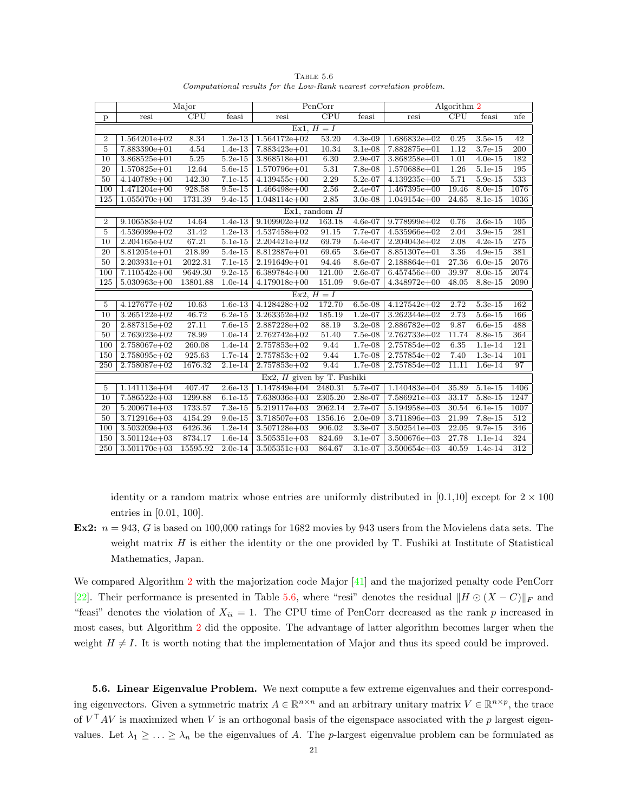|                  |                  | Major    |           |                              | PenCorr                 |           |                  | Algorithm 2             |           |      |
|------------------|------------------|----------|-----------|------------------------------|-------------------------|-----------|------------------|-------------------------|-----------|------|
| $\mathbf{p}$     | resi             | CPU      | feasi     | resi                         | $\overline{\text{CPU}}$ | feasi     | resi             | $\overline{\text{CPU}}$ | feasi     | nfe  |
|                  |                  |          |           |                              | Ex1, $H = I$            |           |                  |                         |           |      |
| $\boldsymbol{2}$ | $1.564201e + 02$ | 8.34     | $1.2e-13$ | $1.564172e+02$               | 53.20                   | $4.3e-09$ | $1.686832e+02$   | 0.25                    | $3.5e-15$ | 42   |
| $\overline{5}$   | $7.883390e+01$   | 4.54     | $1.4e-13$ | 7.883423e+01                 | 10.34                   | $3.1e-08$ | $7.882875e+01$   | 1.12                    | 3.7e-15   | 200  |
| 10               | $3.868525e + 01$ | 5.25     | $5.2e-15$ | $3.868518e + 01$             | 6.30                    | $2.9e-07$ | $3.868258e + 01$ | 1.01                    | $4.0e-15$ | 182  |
| 20               | $1.570825e+01$   | 12.64    | $5.6e-15$ | $1.570796e + 01$             | 5.31                    | $7.8e-08$ | $1.570688e + 01$ | 1.26                    | $5.1e-15$ | 195  |
| 50               | $4.140789e+00$   | 142.30   | $7.1e-15$ | $4.139455e+00$               | 2.29                    | $5.2e-07$ | $4.139235e+00$   | 5.71                    | $5.9e-15$ | 533  |
| 100              | $1.471204e+00$   | 928.58   | $9.5e-15$ | $1.466498e+00$               | 2.56                    | $2.4e-07$ | $1.467395e+00$   | 19.46                   | $8.0e-15$ | 1076 |
| 125              | $1.055070e + 00$ | 1731.39  | $9.4e-15$ | $1.048114e+00$               | 2.85                    | $3.0e-08$ | $1.049154e+00$   | 24.65                   | 8.1e-15   | 1036 |
|                  |                  |          |           |                              | $Ex1$ , random $H$      |           |                  |                         |           |      |
| $\overline{2}$   | $9.106583e+02$   | 14.64    | $1.4e-13$ | $9.109902e + 02$             | 163.18                  | 4.6e-07   | $9.778999e + 02$ | 0.76                    | $3.6e-15$ | 105  |
| 5                | $4.536099e+02$   | 31.42    | $1.2e-13$ | $4.537458e + 02$             | 91.15                   | 7.7e-07   | $4.535966e + 02$ | 2.04                    | $3.9e-15$ | 281  |
| $\overline{10}$  | $2.204165e+02$   | 67.21    | 5.1e-15   | $2.204421e+02$               | 69.79                   | 5.4e-07   | $2.204043e + 02$ | 2.08                    | $4.2e-15$ | 275  |
| 20               | $8.812054e+01$   | 218.99   | 5.4e-15   | 8.812887e+01                 | 69.65                   | 3.6e-07   | $8.851307e + 01$ | 3.36                    | $4.9e-15$ | 381  |
| $\overline{50}$  | $2.203931e+01$   | 2022.31  | $7.1e-15$ | $2.191649e + 01$             | 94.46                   | $8.6e-07$ | $2.188864e+01$   | 27.36                   | $6.0e-15$ | 2076 |
| 100              | $7.110542e+00$   | 9649.30  | $9.2e-15$ | $6.389784e+00$               | 121.00                  | $2.6e-07$ | $6.457456e + 00$ | 39.97                   | 8.0e-15   | 2074 |
| 125              | $5.030963e+00$   | 13801.88 | $1.0e-14$ | $4.179018e + 00$             | 151.09                  | $9.6e-07$ | $4.348972e+00$   | 48.05                   | 8.8e-15   | 2090 |
|                  |                  |          |           |                              | Ex2, $H = I$            |           |                  |                         |           |      |
| 5                | $4.127677e+02$   | 10.63    | $1.6e-13$ | $4.128428e+02$               | 172.70                  | $6.5e-08$ | $4.127542e+02$   | 2.72                    | 5.3e-15   | 162  |
| 10               | $3.265122e+02$   | 46.72    | $6.2e-15$ | $3.263352e+02$               | 185.19                  | $1.2e-07$ | $3.262344e+02$   | 2.73                    | $5.6e-15$ | 166  |
| 20               | $2.887315e+02$   | 27.11    | $7.6e-15$ | 2.887228e+02                 | 88.19                   | $3.2e-08$ | $2.886782e+02$   | 9.87                    | $6.6e-15$ | 488  |
| 50               | $2.763023e+02$   | 78.99    | $1.0e-14$ | $2.762742e+02$               | 51.40                   | 7.5e-08   | $2.762733e+02$   | 11.74                   | 8.8e-15   | 364  |
| 100              | $2.758067e+02$   | 260.08   | 1.4e-14   | $2.757853e+02$               | 9.44                    | 1.7e-08   | $2.757854e+02$   | 6.35                    | 1.1e-14   | 121  |
| 150              | $2.758095e+02$   | 925.63   | $1.7e-14$ | $2.757853e+02$               | 9.44                    | 1.7e-08   | $2.757854e+02$   | 7.40                    | $1.3e-14$ | 101  |
| 250              | $2.758087e+02$   | 1676.32  | $2.1e-14$ | $2.757853e+02$               | 9.44                    | 1.7e-08   | $2.757854e+02$   | 11.11                   | $1.6e-14$ | 97   |
|                  |                  |          |           | $Ex2, H$ given by T. Fushiki |                         |           |                  |                         |           |      |
| 5                | $1.141113e+04$   | 407.47   | $2.6e-13$ | $1.147849e + 04$             | 2480.31                 | 5.7e-07   | $1.140483e+04$   | 35.89                   | $5.1e-15$ | 1406 |
| 10               | $7.586522e+03$   | 1299.88  | $6.1e-15$ | 7.638036e+03                 | 2305.20                 | 2.8e-07   | $7.586921e+03$   | 33.17                   | 5.8e-15   | 1247 |
| 20               | $5.200671e+03$   | 1733.57  | $7.3e-15$ | $5.219117e+03$               | 2062.14                 | 2.7e-07   | $5.194958e + 03$ | 30.54                   | $6.1e-15$ | 1007 |
| 50               | $3.712916e + 03$ | 4154.29  | $9.0e-15$ | $3.718507e+03$               | 1356.16                 | $2.0e-09$ | $3.711896e + 03$ | 21.99                   | $7.8e-15$ | 512  |
| 100              | $3.503209e + 03$ | 6426.36  | $1.2e-14$ | $3.507128e + 03$             | 906.02                  | 3.3e-07   | $3.502541e+03$   | 22.05                   | $9.7e-15$ | 346  |
| 150              | $3.501124e+03$   | 8734.17  | $1.6e-14$ | $3.505351e + 03$             | 824.69                  | 3.1e-07   | $3.500676e + 03$ | 27.78                   | 1.1e-14   | 324  |
| 250              | $3.501170e + 03$ | 15595.92 | $2.0e-14$ | $3.505351e + 03$             | 864.67                  | $3.1e-07$ | $3.500654e + 03$ | 40.59                   | $1.4e-14$ | 312  |

<span id="page-20-0"></span>TABLE 5.6 Computational results for the Low-Rank nearest correlation problem.

identity or a random matrix whose entries are uniformly distributed in [0.1,10] except for  $2 \times 100$ entries in [0.01, 100].

Ex2:  $n = 943$ , G is based on 100,000 ratings for 1682 movies by 943 users from the Movielens data sets. The weight matrix  $H$  is either the identity or the one provided by  $T$ . Fushiki at Institute of Statistical Mathematics, Japan.

We compared Algorithm [2](#page-11-3) with the majorization code Major [\[41\]](#page-28-26) and the majorized penalty code PenCorr [\[22\]](#page-28-12). Their performance is presented in Table [5.6,](#page-20-0) where "resi" denotes the residual  $\|H \odot (X - C)\|_F$  and "feasi" denotes the violation of  $X_{ii} = 1$ . The CPU time of PenCorr decreased as the rank p increased in most cases, but Algorithm [2](#page-11-3) did the opposite. The advantage of latter algorithm becomes larger when the weight  $H \neq I$ . It is worth noting that the implementation of Major and thus its speed could be improved.

5.6. Linear Eigenvalue Problem. We next compute a few extreme eigenvalues and their corresponding eigenvectors. Given a symmetric matrix  $A \in \mathbb{R}^{n \times n}$  and an arbitrary unitary matrix  $V \in \mathbb{R}^{n \times p}$ , the trace of  $V<sup>\top</sup> A V$  is maximized when V is an orthogonal basis of the eigenspace associated with the p largest eigenvalues. Let  $\lambda_1 \geq \ldots \geq \lambda_n$  be the eigenvalues of A. The *p*-largest eigenvalue problem can be formulated as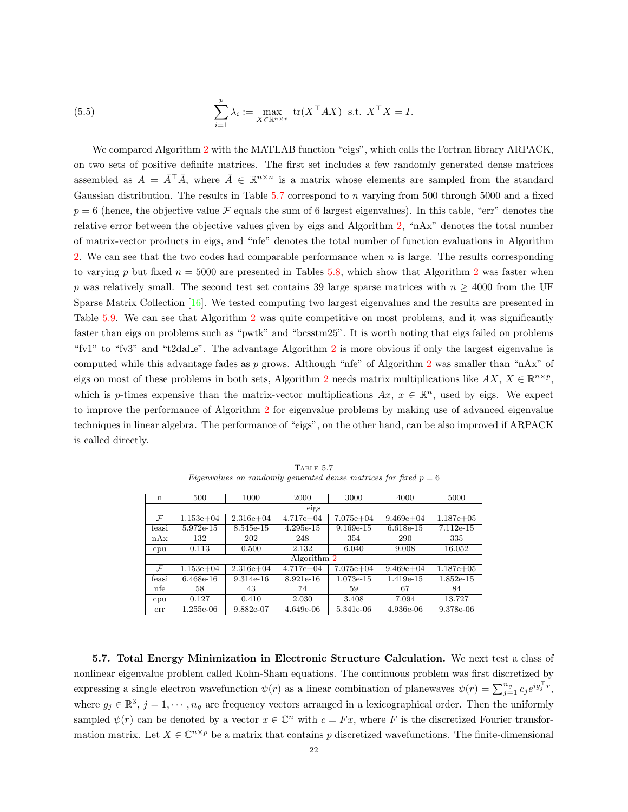(5.5) 
$$
\sum_{i=1}^{p} \lambda_i := \max_{X \in \mathbb{R}^{n \times p}} \text{tr}(X^\top A X) \text{ s.t. } X^\top X = I.
$$

We compared Algorithm [2](#page-11-3) with the MATLAB function "eigs", which calls the Fortran library ARPACK, on two sets of positive definite matrices. The first set includes a few randomly generated dense matrices assembled as  $A = \overline{A}^{\top} \overline{A}$ , where  $\overline{A} \in \mathbb{R}^{n \times n}$  is a matrix whose elements are sampled from the standard Gaussian distribution. The results in Table [5.7](#page-21-0) correspond to n varying from 500 through 5000 and a fixed  $p = 6$  (hence, the objective value F equals the sum of 6 largest eigenvalues). In this table, "err" denotes the relative error between the objective values given by eigs and Algorithm [2,](#page-11-3) "nAx" denotes the total number of matrix-vector products in eigs, and "nfe" denotes the total number of function evaluations in Algorithm [2.](#page-11-3) We can see that the two codes had comparable performance when n is large. The results corresponding to varying p but fixed  $n = 5000$  are presented in Tables [5.8,](#page-22-0) which show that Algorithm [2](#page-11-3) was faster when p was relatively small. The second test set contains 39 large sparse matrices with  $n \geq 4000$  from the UF Sparse Matrix Collection [\[16\]](#page-27-15). We tested computing two largest eigenvalues and the results are presented in Table [5.9.](#page-23-0) We can see that Algorithm [2](#page-11-3) was quite competitive on most problems, and it was significantly faster than eigs on problems such as "pwtk" and "bcsstm25". It is worth noting that eigs failed on problems "fv1" to "fv3" and "t[2](#page-11-3)dal e". The advantage Algorithm 2 is more obvious if only the largest eigenvalue is computed while this advantage fades as p grows. Although "nfe" of Algorithm [2](#page-11-3) was smaller than "nAx" of eigs on most of these problems in both sets, Algorithm [2](#page-11-3) needs matrix multiplications like  $AX, X \in \mathbb{R}^{n \times p}$ , which is p-times expensive than the matrix-vector multiplications  $Ax, x \in \mathbb{R}^n$ , used by eigs. We expect to improve the performance of Algorithm [2](#page-11-3) for eigenvalue problems by making use of advanced eigenvalue techniques in linear algebra. The performance of "eigs", on the other hand, can be also improved if ARPACK is called directly.

| $\mathbf n$   | 500           | 1000          | 2000          | 3000          | 4000          | 5000          |  |
|---------------|---------------|---------------|---------------|---------------|---------------|---------------|--|
|               |               |               | eigs          |               |               |               |  |
| $\mathcal{F}$ | $1.153e + 04$ | $2.316e + 04$ | $4.717e + 04$ | $7.075e + 04$ | $9.469e + 04$ | $1.187e + 05$ |  |
| feasi         | 5.972e-15     | 8.545e-15     | $4.295e-15$   | $9.169e-15$   | 6.618e-15     | 7.112e-15     |  |
| nAx           | 132           | 202           | 248           | 354           | 290           | 335           |  |
| cpu           | 0.113         | 0.500         | 2.132         | 6.040         | 9.008         | 16.052        |  |
|               |               |               | Algorithm 2   |               |               |               |  |
| $\mathcal{F}$ | $1.153e + 04$ | $2.316e + 04$ | $4.717e + 04$ | $7.075e + 04$ | $9.469e + 04$ | $1.187e + 05$ |  |
| feasi         | 6.468e-16     | $9.314e-16$   | 8.921e-16     | 1.073e-15     | 1.419e-15     | $1.852e-15$   |  |
| nfe           | 58            | 43            | 74            | 59            | 67            | 84            |  |
| cpu           | 0.127         | 0.410         | 2.030         | 3.408         | 7.094         | 13.727        |  |
| err           | 1.255e-06     | 9.882e-07     | $4.649e-06$   | 5.341e-06     | 4.936e-06     | 9.378e-06     |  |

<span id="page-21-0"></span>Table 5.7 Eigenvalues on randomly generated dense matrices for fixed  $p = 6$ 

5.7. Total Energy Minimization in Electronic Structure Calculation. We next test a class of nonlinear eigenvalue problem called Kohn-Sham equations. The continuous problem was first discretized by expressing a single electron wavefunction  $\psi(r)$  as a linear combination of planewaves  $\psi(r) = \sum_{j=1}^{n_g} c_j e^{i g_j^{\top} r}$ , where  $g_j \in \mathbb{R}^3$ ,  $j = 1, \dots, n_g$  are frequency vectors arranged in a lexicographical order. Then the uniformly sampled  $\psi(r)$  can be denoted by a vector  $x \in \mathbb{C}^n$  with  $c = Fx$ , where F is the discretized Fourier transformation matrix. Let  $X \in \mathbb{C}^{n \times p}$  be a matrix that contains p discretized wavefunctions. The finite-dimensional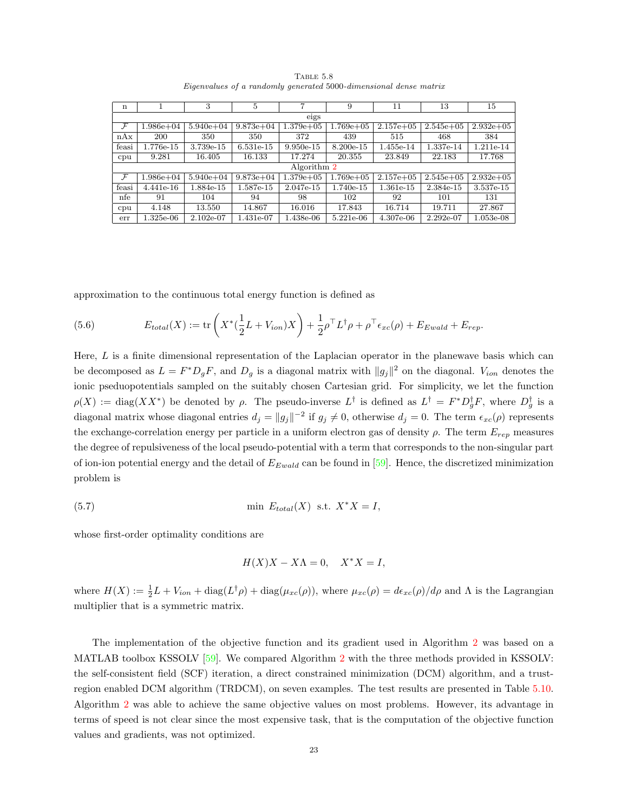| $\mathbf n$   |               | 3             | 5             | 7             | 9             | 11            | 13            | 15           |  |  |  |
|---------------|---------------|---------------|---------------|---------------|---------------|---------------|---------------|--------------|--|--|--|
|               | eigs          |               |               |               |               |               |               |              |  |  |  |
| $\mathcal{F}$ | $1.986e + 04$ | $5.940e + 04$ | $9.873e + 04$ | $1.379e + 05$ | $1.769e + 05$ | $2.157e + 05$ | $2.545e+05$   | $2.932e+0.5$ |  |  |  |
| nAx           | 200           | 350           | 350           | 372           | 439           | 515           | 468           | 384          |  |  |  |
| feasi         | 1.776e-15     | 3.739e-15     | $6.531e-15$   | $9.950e-15$   | 8.200e-15     | 1.455e-14     | 1.337e-14     | 1.211e-14    |  |  |  |
| cpu           | 9.281         | 16.405        | 16.133        | 17.274        | 20.355        | 23.849        | 22.183        | 17.768       |  |  |  |
|               |               |               |               | Algorithm 2   |               |               |               |              |  |  |  |
| $\mathcal{F}$ | $1.986e + 04$ | $5.940e + 04$ | $9.873e + 04$ | $1.379e + 05$ | $1.769e + 05$ | $2.157e+05$   | $2.545e + 05$ | $2.932e+0.5$ |  |  |  |
| feasi         | $4.441e-16$   | 1.884e-15     | 1.587e-15     | 2.047e-15     | 1.740e-15     | $1.361e-15$   | 2.384e-15     | 3.537e-15    |  |  |  |
| nfe           | 91            | 104           | 94            | 98            | 102           | 92            | 101           | 131          |  |  |  |
| cpu           | 4.148         | 13.550        | 14.867        | 16.016        | 17.843        | 16.714        | 19.711        | 27.867       |  |  |  |
| err           | $1.325e-06$   | $2.102e-07$   | 1.431e-07     | 1.438e-06     | 5.221e-06     | 4.307e-06     | $2.292e-07$   | $1.053e-08$  |  |  |  |

<span id="page-22-0"></span>TABLE 5.8 Eigenvalues of a randomly generated 5000-dimensional dense matrix

approximation to the continuous total energy function is defined as

(5.6) 
$$
E_{total}(X) := \text{tr}\left(X^*(\frac{1}{2}L + V_{ion})X\right) + \frac{1}{2}\rho^\top L^\dagger \rho + \rho^\top \epsilon_{xc}(\rho) + E_{Ewald} + E_{rep}.
$$

Here,  $L$  is a finite dimensional representation of the Laplacian operator in the planewave basis which can be decomposed as  $L = F^* D_g F$ , and  $D_g$  is a diagonal matrix with  $||g_j||^2$  on the diagonal.  $V_{ion}$  denotes the ionic pseduopotentials sampled on the suitably chosen Cartesian grid. For simplicity, we let the function  $\rho(X) := \text{diag}(XX^*)$  be denoted by  $\rho$ . The pseudo-inverse  $L^{\dagger}$  is defined as  $L^{\dagger} = F^* D_g^{\dagger} F$ , where  $D_g^{\dagger}$  is a diagonal matrix whose diagonal entries  $d_j = ||g_j||^{-2}$  if  $g_j \neq 0$ , otherwise  $d_j = 0$ . The term  $\epsilon_{xc}(\rho)$  represents the exchange-correlation energy per particle in a uniform electron gas of density  $\rho$ . The term  $E_{rep}$  measures the degree of repulsiveness of the local pseudo-potential with a term that corresponds to the non-singular part of ion-ion potential energy and the detail of  $E_{Ewald}$  can be found in [\[59\]](#page-29-14). Hence, the discretized minimization problem is

(5.7) 
$$
\min \, E_{total}(X) \text{ s.t. } X^*X = I,
$$

whose first-order optimality conditions are

$$
H(X)X - X\Lambda = 0, \quad X^*X = I,
$$

where  $H(X) := \frac{1}{2}L + V_{ion} + \text{diag}(L^{\dagger}\rho) + \text{diag}(\mu_{xc}(\rho))$ , where  $\mu_{xc}(\rho) = d\epsilon_{xc}(\rho)/d\rho$  and  $\Lambda$  is the Lagrangian multiplier that is a symmetric matrix.

The implementation of the objective function and its gradient used in Algorithm [2](#page-11-3) was based on a MATLAB toolbox KSSOLV [\[59\]](#page-29-14). We compared Algorithm [2](#page-11-3) with the three methods provided in KSSOLV: the self-consistent field (SCF) iteration, a direct constrained minimization (DCM) algorithm, and a trustregion enabled DCM algorithm (TRDCM), on seven examples. The test results are presented in Table [5.10.](#page-24-0) Algorithm [2](#page-11-3) was able to achieve the same objective values on most problems. However, its advantage in terms of speed is not clear since the most expensive task, that is the computation of the objective function values and gradients, was not optimized.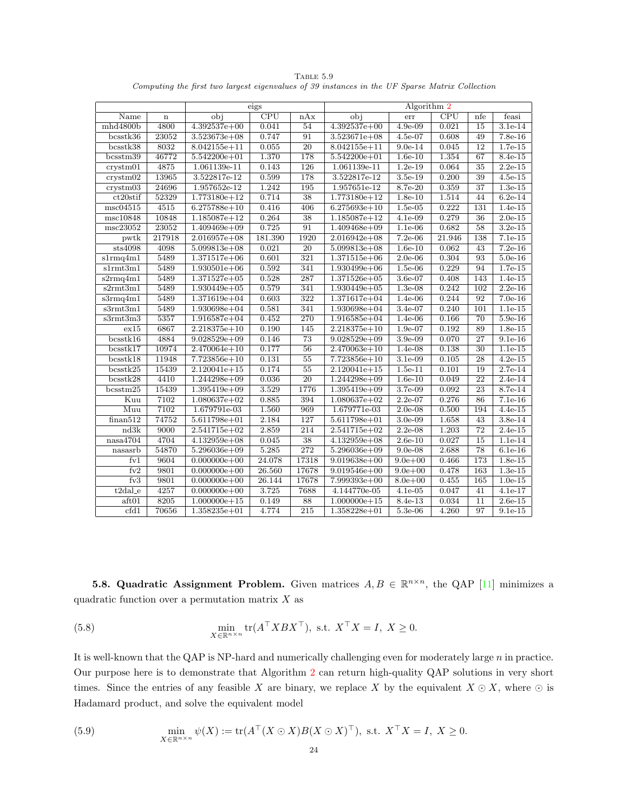|                          |         |                  | eigs    |                  | Algorithm 2      |             |                         |                  |           |  |
|--------------------------|---------|------------------|---------|------------------|------------------|-------------|-------------------------|------------------|-----------|--|
| Name                     | $\bf n$ | obj              | CPU     | nAx              | obj              | err         | $\overline{\text{CPU}}$ | nfe              | feasi     |  |
| mhd4800b                 | 4800    | $4.392537e+00$   | 0.041   | 54               | $4.392537e+00$   | $4.9e-09$   | 0.021                   | $\overline{15}$  | $3.1e-14$ |  |
| bcsstk36                 | 23052   | $3.523673e+08$   | 0.747   | 91               | $3.523671e+08$   | 4.5e-07     | 0.608                   | 49               | $7.8e-16$ |  |
| bcsstk38                 | 8032    | $8.042155e + 11$ | 0.055   | $\overline{20}$  | $8.042155e + 11$ | $9.0e-14$   | 0.045                   | $\overline{12}$  | $1.7e-15$ |  |
| bcsstm39                 | 46772   | $5.542200e + 01$ | 1.370   | 178              | $5.542200e + 01$ | $1.6e-10$   | 1.354                   | 67               | 8.4e-15   |  |
| crystm01                 | 4875    | 1.061139e-11     | 0.143   | 126              | 1.061139e-11     | $1.2e-19$   | 0.064                   | 35               | $2.2e-15$ |  |
| crystm02                 | 13965   | 3.522817e-12     | 0.599   | 178              | 3.522817e-12     | $3.5e-19$   | 0.200                   | $\overline{39}$  | $4.5e-15$ |  |
| crystm03                 | 24696   | 1.957652e-12     | 1.242   | 195              | 1.957651e-12     | $8.7e-20$   | 0.359                   | $\overline{37}$  | $1.3e-15$ |  |
| ct20stif                 | 52329   | $1.773180e + 12$ | 0.714   | 38               | 1.773180e+12     | $1.8e-10$   | 1.514                   | 44               | $6.2e-14$ |  |
| msc04515                 | 4515    | $6.275788e + 10$ | 0.416   | 406              | $6.275693e+10$   | $1.5e-05$   | 0.222                   | 131              | 1.4e-15   |  |
| msc10848                 | 10848   | $1.185087e+12$   | 0.264   | $\overline{38}$  | $1.185087e+12$   | $4.1e-09$   | 0.279                   | $\overline{36}$  | $2.0e-15$ |  |
| msc23052                 | 23052   | $1.409469e+09$   | 0.725   | $\overline{91}$  | $1.409468e + 09$ | $1.1e-06$   | 0.682                   | $\overline{58}$  | $3.2e-15$ |  |
| pwtk                     | 217918  | $2.016957e+08$   | 181.390 | 1920             | $2.016942e+08$   | $7.2e-06$   | 21.946                  | 138              | $7.1e-15$ |  |
| sts4098                  | 4098    | $5.099813e + 08$ | 0.021   | $\overline{20}$  | $5.099813e+08$   | $1.6e-10$   | 0.062                   | 43               | $7.2e-16$ |  |
| s1rmq4m1                 | 5489    | $1.371517e+06$   | 0.601   | 321              | $1.371515e+06$   | $2.0e-06$   | 0.304                   | 93               | $5.0e-16$ |  |
| s1rmt3m1                 | 5489    | $1.930501e+06$   | 0.592   | 341              | $1.930499e + 06$ | $1.5e-06$   | 0.229                   | 94               | $1.7e-15$ |  |
| s2rmq4m1                 | 5489    | $1.371527e+05$   | 0.528   | 287              | $1.371526e + 05$ | $3.6e-07$   | 0.408                   | 143              | $1.4e-15$ |  |
| s2rmt3m1                 | 5489    | $1.930449e+05$   | 0.579   | 341              | $1.930449e+05$   | $1.3e-08$   | 0.242                   | $\overline{102}$ | $2.2e-16$ |  |
| s3rmq4m1                 | 5489    | $1.371619e + 04$ | 0.603   | $\overline{322}$ | $1.371617e + 04$ | 1.4e-06     | 0.244                   | 92               | $7.0e-16$ |  |
| s3rmt3m1                 | 5489    | $1.930698e + 04$ | 0.581   | 341              | $1.930698e + 04$ | $3.4e-07$   | 0.240                   | 101              | $1.1e-15$ |  |
| s3rmt3m3                 | 5357    | $1.916587e+04$   | 0.452   | 270              | $1.916585e+04$   | $1.4e-06$   | 0.166                   | $\overline{70}$  | $5.9e-16$ |  |
| ex15                     | 6867    | $2.218375e+10$   | 0.190   | 145              | $2.218375e + 10$ | $1.9e-07$   | 0.192                   | 89               | $1.8e-15$ |  |
| bcsstk16                 | 4884    | $9.028529e + 09$ | 0.146   | 73               | $9.028529e + 09$ | 3.9e-09     | 0.070                   | 27               | $9.1e-16$ |  |
| bcsstk17                 | 10974   | $2.470064e + 10$ | 0.177   | 56               | $2.470063e + 10$ | 1.4e-08     | 0.138                   | $\overline{30}$  | $1.1e-15$ |  |
| bcsstk18                 | 11948   | $7.723856e + 10$ | 0.131   | $\overline{55}$  | $7.723856e + 10$ | $3.1e-09$   | 0.105                   | $\overline{28}$  | $4.2e-15$ |  |
| bcsstk25                 | 15439   | $2.120041e+15$   | 0.174   | 55               | $2.120041e+15$   | $1.5e-11$   | 0.101                   | 19               | $2.7e-14$ |  |
| bcsstk28                 | 4410    | $1.244298e + 09$ | 0.036   | $\overline{20}$  | $1.244298e + 09$ | $1.6e-10$   | 0.049                   | $\overline{22}$  | $2.4e-14$ |  |
| bcsstm25                 | 15439   | $1.395419e + 09$ | 3.529   | 1776             | $1.395419e + 09$ | $3.7e-0.9$  | 0.092                   | $\overline{23}$  | $8.7e-14$ |  |
| Kuu                      | 7102    | $1.080637e+02$   | 0.885   | 394              | $1.080637e+02$   | $2.2e-07$   | 0.276                   | 86               | $7.1e-16$ |  |
| Muu                      | 7102    | 1.679791e-03     | 1.560   | 969              | 1.679771e-03     | $2.0e-08$   | 0.500                   | 194              | $4.4e-15$ |  |
| finan512                 | 74752   | $5.611798e + 01$ | 2.184   | 127              | $5.611798e + 01$ | $3.0e-09$   | 1.658                   | 43               | $3.8e-14$ |  |
| nd3k                     | 9000    | $2.541715e+02$   | 2.859   | 214              | $2.541715e+02$   | $2.2e-08$   | 1.203                   | $\overline{72}$  | $2.4e-15$ |  |
| nasa4704                 | 4704    | $4.132959e+08$   | 0.045   | 38               | $4.132959e+08$   | $2.6e-10$   | 0.027                   | 15               | $1.1e-14$ |  |
| nasasrb                  | 54870   | $5.296036e + 09$ | 5.285   | $\overline{272}$ | $5.296036e + 09$ | $9.0e-08$   | 2.688                   | $\overline{78}$  | $6.1e-16$ |  |
| $f_{\rm V1}$             | 9604    | $0.000000e + 00$ | 24.078  | 17318            | $9.019638e + 00$ | $9.0e + 00$ | 0.466                   | 173              | $1.8e-15$ |  |
| $f_{V2}$                 | 9801    | $0.000000e + 00$ | 26.560  | 17678            | $9.019546e + 00$ | $9.0e + 00$ | 0.478                   | 163              | $1.3e-15$ |  |
| $f_{\rm V}$ <sub>3</sub> | 9801    | $0.000000e + 00$ | 26.144  | 17678            | $7.999393e+00$   | $8.0e + 00$ | 0.455                   | 165              | $1.0e-15$ |  |
| $t2dal_e$                | 4257    | $0.000000e + 00$ | 3.725   | 7688             | 4.144770e-05     | $4.1e-05$   | 0.047                   | 41               | $4.1e-17$ |  |
| aft01                    | 8205    | $1.000000e + 15$ | 0.149   | 88               | $1.000000e + 15$ | 8.4e-13     | 0.034                   | 11               | $2.6e-15$ |  |
| cfd1                     | 70656   | $1.358235e + 01$ | 4.774   | $\overline{215}$ | $1.358228e+01$   | $5.3e-06$   | 4.260                   | 97               | $9.1e-15$ |  |

<span id="page-23-0"></span>TABLE  $5.9$ Computing the first two largest eigenvalues of 39 instances in the UF Sparse Matrix Collection

<span id="page-23-1"></span>**5.8. Quadratic Assignment Problem.** Given matrices  $A, B \in \mathbb{R}^{n \times n}$ , the QAP [\[11\]](#page-27-16) minimizes a quadratic function over a permutation matrix  $X$  as

(5.8) 
$$
\min_{X \in \mathbb{R}^{n \times n}} \text{tr}(A^\top X B X^\top), \text{ s.t. } X^\top X = I, X \ge 0.
$$

It is well-known that the QAP is NP-hard and numerically challenging even for moderately large n in practice. Our purpose here is to demonstrate that Algorithm [2](#page-11-3) can return high-quality QAP solutions in very short times. Since the entries of any feasible X are binary, we replace X by the equivalent  $X \odot X$ , where  $\odot$  is Hadamard product, and solve the equivalent model

<span id="page-23-2"></span>(5.9) 
$$
\min_{X \in \mathbb{R}^{n \times n}} \psi(X) := \text{tr}(A^\top (X \odot X) B(X \odot X)^\top), \text{ s.t. } X^\top X = I, X \geq 0.
$$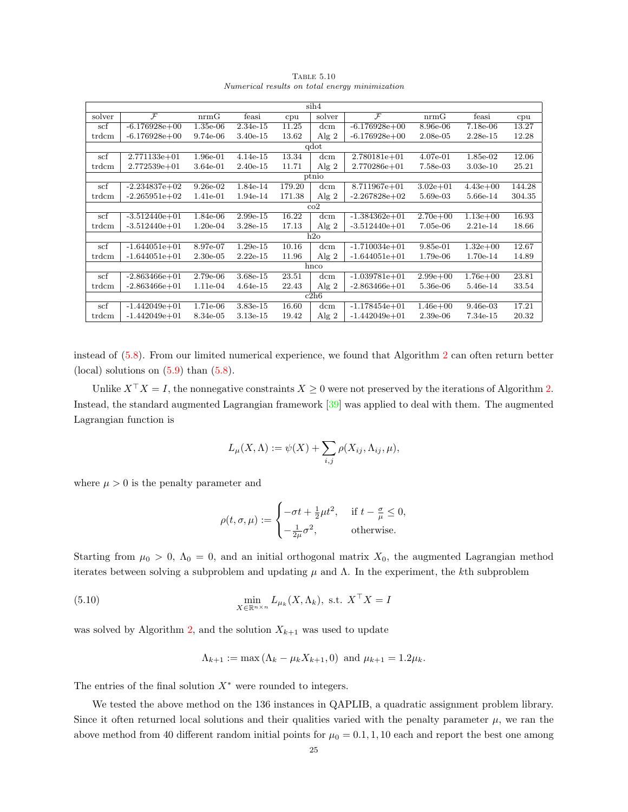| $\sin 4$   |                   |             |            |        |         |                   |              |              |        |  |  |
|------------|-------------------|-------------|------------|--------|---------|-------------------|--------------|--------------|--------|--|--|
| solver     | $\mathcal F$      | nrmG        | feasi      | cpu    | solver  | $\mathcal{F}$     | nrmG         | feasi        | cpu    |  |  |
| scf        | $-6.176928e+00$   | $1.35e-06$  | $2.34e-15$ | 11.25  | dcm     | $-6.176928e+00$   | 8.96e-06     | 7.18e-06     | 13.27  |  |  |
| trdcm      | $-6.176928e+00$   | 9.74e-06    | $3.40e-15$ | 13.62  | Alg $2$ | $-6.176928e+00$   | $2.08e-0.5$  | $2.28e-15$   | 12.28  |  |  |
| qdot       |                   |             |            |        |         |                   |              |              |        |  |  |
| scf        | $2.771133e + 01$  | 1.96e-01    | $4.14e-15$ | 13.34  | dcm     | $2.780181e+01$    | 4.07e-01     | 1.85e-02     | 12.06  |  |  |
| trdcm      | $2.772539e + 01$  | 3.64e-01    | $2.40e-15$ | 11.71  | Alg $2$ | $2.770286 + 01$   | 7.58e-03     | $3.03e-10$   | 25.21  |  |  |
| ptnio      |                   |             |            |        |         |                   |              |              |        |  |  |
| scf        | $-2.234837e+02$   | $9.26e-02$  | 1.84e-14   | 179.20 | dcm     | $8.711967e + 01$  | $3.02e + 01$ | $4.43e+00$   | 144.28 |  |  |
| trdcm      | $-2.265951e+02$   | 1.41e-01    | 1.94e-14   | 171.38 | Alg $2$ | $-2.267828e+02$   | 5.69e-03     | 5.66e-14     | 304.35 |  |  |
| $\rm{co2}$ |                   |             |            |        |         |                   |              |              |        |  |  |
| scf        | $-3.512440e+01$   | 1.84e-06    | $2.99e-15$ | 16.22  | dcm     | $-1.384362e+01$   | $2.70e + 00$ | $1.13e + 00$ | 16.93  |  |  |
| trdcm      | $-3.512440e+01$   | $1.20e-0.4$ | $3.28e-15$ | 17.13  | Alg $2$ | $-3.512440e+01$   | 7.05e-06     | $2.21e-14$   | 18.66  |  |  |
|            |                   |             |            |        | h2o     |                   |              |              |        |  |  |
| scf        | $-1.644051e+01$   | 8.97e-07    | $1.29e-15$ | 10.16  | dcm     | $-1.710034e+01$   | $9.85e-01$   | $1.32e + 00$ | 12.67  |  |  |
| trdcm      | $-1.644051e+01$   | $2.30e-0.5$ | $2.22e-15$ | 11.96  | Alg $2$ | $-1.644051e+01$   | 1.79e-06     | 1.70e-14     | 14.89  |  |  |
| hnco       |                   |             |            |        |         |                   |              |              |        |  |  |
| scf        | $-2.863466e+01$   | 2.79e-06    | $3.68e-15$ | 23.51  | dcm     | $-1.039781e+01$   | $2.99e+00$   | $1.76e + 00$ | 23.81  |  |  |
| trdcm      | $-2.863466e + 01$ | 1.11e-04    | $4.64e-15$ | 22.43  | Alg $2$ | $-2.863466e + 01$ | 5.36e-06     | 5.46e-14     | 33.54  |  |  |
| c2h6       |                   |             |            |        |         |                   |              |              |        |  |  |
| scf        | $-1.442049e+01$   | 1.71e-06    | $3.83e-15$ | 16.60  | dcm     | $-1.178454e+01$   | $1.46e + 00$ | $9.46e-03$   | 17.21  |  |  |
| trdcm      | $-1.442049e+01$   | 8.34e-05    | $3.13e-15$ | 19.42  | Alg $2$ | $-1.442049e+01$   | $2.39e-06$   | 7.34e-15     | 20.32  |  |  |

<span id="page-24-0"></span>Table 5.10 Numerical results on total energy minimization

instead of  $(5.8)$ . From our limited numerical experience, we found that Algorithm [2](#page-11-3) can often return better (local) solutions on  $(5.9)$  than  $(5.8)$ .

Unlike  $X^{\top} X = I$ , the nonnegative constraints  $X \geq 0$  were not preserved by the iterations of Algorithm [2.](#page-11-3) Instead, the standard augmented Lagrangian framework [\[39\]](#page-28-15) was applied to deal with them. The augmented Lagrangian function is

$$
L_{\mu}(X,\Lambda) := \psi(X) + \sum_{i,j} \rho(X_{ij}, \Lambda_{ij}, \mu),
$$

where  $\mu > 0$  is the penalty parameter and

$$
\rho(t,\sigma,\mu) := \begin{cases}\n-\sigma t + \frac{1}{2}\mu t^2, & \text{if } t - \frac{\sigma}{\mu} \le 0, \\
-\frac{1}{2\mu}\sigma^2, & \text{otherwise.}\n\end{cases}
$$

Starting from  $\mu_0 > 0$ ,  $\Lambda_0 = 0$ , and an initial orthogonal matrix  $X_0$ , the augmented Lagrangian method iterates between solving a subproblem and updating  $\mu$  and  $\Lambda$ . In the experiment, the kth subproblem

(5.10) 
$$
\min_{X \in \mathbb{R}^{n \times n}} L_{\mu_k}(X, \Lambda_k), \text{ s.t. } X^\top X = I
$$

was solved by Algorithm [2,](#page-11-3) and the solution  $X_{k+1}$  was used to update

$$
\Lambda_{k+1} := \max(\Lambda_k - \mu_k X_{k+1}, 0) \text{ and } \mu_{k+1} = 1.2\mu_k.
$$

The entries of the final solution  $X^*$  were rounded to integers.

We tested the above method on the 136 instances in QAPLIB, a quadratic assignment problem library. Since it often returned local solutions and their qualities varied with the penalty parameter  $\mu$ , we ran the above method from 40 different random initial points for  $\mu_0 = 0.1, 1, 10$  each and report the best one among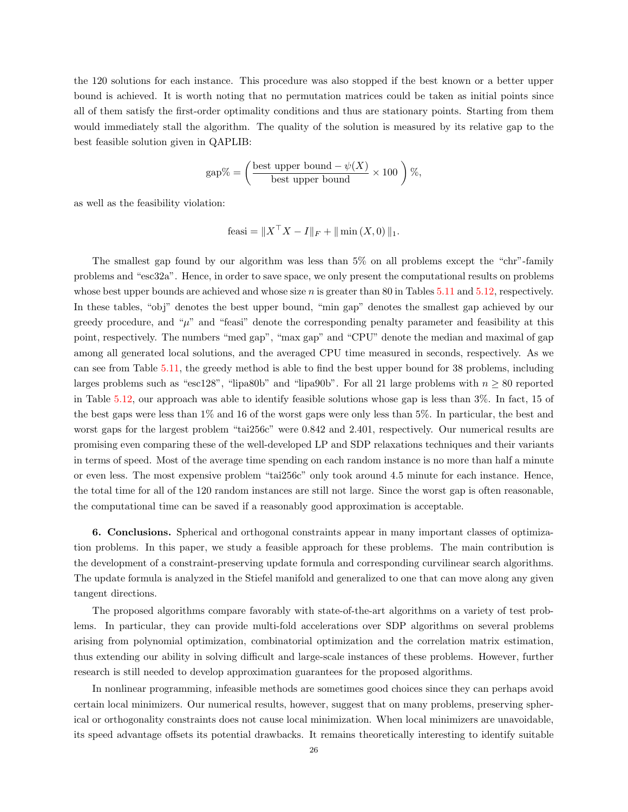the 120 solutions for each instance. This procedure was also stopped if the best known or a better upper bound is achieved. It is worth noting that no permutation matrices could be taken as initial points since all of them satisfy the first-order optimality conditions and thus are stationary points. Starting from them would immediately stall the algorithm. The quality of the solution is measured by its relative gap to the best feasible solution given in QAPLIB:

$$
gap\% = \left(\frac{\text{best upper bound} - \psi(X)}{\text{best upper bound}} \times 100\right)\%
$$

as well as the feasibility violation:

feasi = 
$$
||X^{\top}X - I||_F + ||\min(X, 0)||_1
$$
.

The smallest gap found by our algorithm was less than 5% on all problems except the "chr"-family problems and "esc32a". Hence, in order to save space, we only present the computational results on problems whose best upper bounds are achieved and whose size n is greater than 80 in Tables  $5.11$  and  $5.12$ , respectively. In these tables, "obj" denotes the best upper bound, "min gap" denotes the smallest gap achieved by our greedy procedure, and " $\mu$ " and "feasi" denote the corresponding penalty parameter and feasibility at this point, respectively. The numbers "med gap", "max gap" and "CPU" denote the median and maximal of gap among all generated local solutions, and the averaged CPU time measured in seconds, respectively. As we can see from Table [5.11,](#page-26-2) the greedy method is able to find the best upper bound for 38 problems, including larges problems such as "esc128", "lipa80b" and "lipa90b". For all 21 large problems with  $n \ge 80$  reported in Table [5.12,](#page-27-17) our approach was able to identify feasible solutions whose gap is less than 3%. In fact, 15 of the best gaps were less than 1% and 16 of the worst gaps were only less than 5%. In particular, the best and worst gaps for the largest problem "tai256c" were 0.842 and 2.401, respectively. Our numerical results are promising even comparing these of the well-developed LP and SDP relaxations techniques and their variants in terms of speed. Most of the average time spending on each random instance is no more than half a minute or even less. The most expensive problem "tai256c" only took around 4.5 minute for each instance. Hence, the total time for all of the 120 random instances are still not large. Since the worst gap is often reasonable, the computational time can be saved if a reasonably good approximation is acceptable.

6. Conclusions. Spherical and orthogonal constraints appear in many important classes of optimization problems. In this paper, we study a feasible approach for these problems. The main contribution is the development of a constraint-preserving update formula and corresponding curvilinear search algorithms. The update formula is analyzed in the Stiefel manifold and generalized to one that can move along any given tangent directions.

The proposed algorithms compare favorably with state-of-the-art algorithms on a variety of test problems. In particular, they can provide multi-fold accelerations over SDP algorithms on several problems arising from polynomial optimization, combinatorial optimization and the correlation matrix estimation, thus extending our ability in solving difficult and large-scale instances of these problems. However, further research is still needed to develop approximation guarantees for the proposed algorithms.

In nonlinear programming, infeasible methods are sometimes good choices since they can perhaps avoid certain local minimizers. Our numerical results, however, suggest that on many problems, preserving spherical or orthogonality constraints does not cause local minimization. When local minimizers are unavoidable, its speed advantage offsets its potential drawbacks. It remains theoretically interesting to identify suitable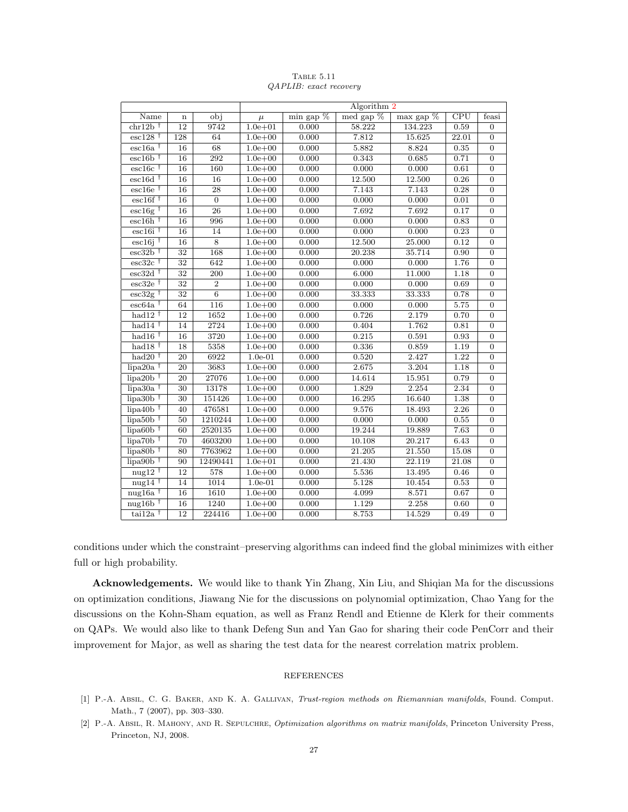|                                               |                 |                 |                                 |             | Algorithm 2 |                         |       |                  |  |
|-----------------------------------------------|-----------------|-----------------|---------------------------------|-------------|-------------|-------------------------|-------|------------------|--|
| $\overline{obj}$<br>Name<br>$\mathbf n$       |                 | $\mu$           | $\overline{\min\text{ gap }\%}$ | med gap $%$ | max gap %   | $\overline{\text{CPU}}$ | feasi |                  |  |
| $chr12b$ <sup>†</sup>                         | $\overline{12}$ | 9742            | $1.0e + 01$                     | 0.000       | 58.222      | 134.223                 | 0.59  | $\mathbf{0}$     |  |
| $\mathrm{esc}128$ <sup>†</sup>                | 128             | 64              | $1.0e + 00$                     | 0.000       | 7.812       | 15.625                  | 22.01 | $\overline{0}$   |  |
| $\overline{\text{esc16a}}$ <sup>†</sup>       | 16              | 68              | $1.0e + 00$                     | 0.000       | 5.882       | 8.824                   | 0.35  | $\overline{0}$   |  |
| $\mathrm{esc}16\mathrm{b}$ <sup>†</sup>       | 16              | 292             | $1.0e + 00$                     | 0.000       | 0.343       | 0.685                   | 0.71  | $\overline{0}$   |  |
| $\rm esc16c$ <sup>†</sup>                     | 16              | 160             | $1.0e + 00$                     | 0.000       | 0.000       | 0.000                   | 0.61  | $\boldsymbol{0}$ |  |
| $\mathrm{esc}16\mathrm{d}$ <sup>†</sup>       | $\overline{16}$ | 16              | $1.0e + 00$                     | 0.000       | 12.500      | 12.500                  | 0.26  | $\boldsymbol{0}$ |  |
| $\mathrm{esc}16\mathrm{e}$ <sup>†</sup>       | 16              | 28              | $1.0e + 00$                     | 0.000       | 7.143       | 7.143                   | 0.28  | $\boldsymbol{0}$ |  |
| $\mathrm{esc}16f$ <sup>†</sup>                | 16              | $\overline{0}$  | $1.0e + 00$                     | 0.000       | 0.000       | 0.000                   | 0.01  | $\overline{0}$   |  |
| $\mathrm{esc}16\mathrm{g}$ <sup>†</sup>       | $\overline{16}$ | $\overline{26}$ | $1.0e + 00$                     | 0.000       | 7.692       | 7.692                   | 0.17  | $\overline{0}$   |  |
| $\overline{\text{esc16h}}$ <sup>†</sup>       | $\overline{16}$ | 996             | $1.0e + 00$                     | 0.000       | 0.000       | 0.000                   | 0.83  | $\overline{0}$   |  |
| $\overline{\text{esc}16i}$ <sup>†</sup>       | 16              | 14              | $1.0e + 00$                     | 0.000       | 0.000       | 0.000                   | 0.23  | $\overline{0}$   |  |
| $\mathrm{esc}16i$ <sup>†</sup>                | 16              | 8               | $1.0e + 00$                     | 0.000       | 12.500      | 25.000                  | 0.12  | $\boldsymbol{0}$ |  |
| $\mathrm{esc}32\mathrm{b}$ <sup>†</sup>       | 32              | 168             | $1.0e + 00$                     | 0.000       | 20.238      | 35.714                  | 0.90  | $\boldsymbol{0}$ |  |
| $\overline{\text{esc32c}}$ <sup>†</sup>       | $\overline{32}$ | 642             | $1.0e + 00$                     | 0.000       | 0.000       | 0.000                   | 1.76  | $\overline{0}$   |  |
| $\sqrt{\text{esc32d} + \sqrt{\text{c}}$       | $\overline{32}$ | 200             | $1.0e + 00$                     | 0.000       | 6.000       | 11.000                  | 1.18  | $\boldsymbol{0}$ |  |
| $\overline{\text{esc32e}}$ <sup>†</sup>       | $\overline{32}$ | $\overline{2}$  | $1.0e + 00$                     | 0.000       | 0.000       | 0.000                   | 0.69  | $\overline{0}$   |  |
| $\mathrm{esc}32\mathrm{g}$ <sup>†</sup>       | 32              | $\overline{6}$  | $1.0e + 00$                     | 0.000       | 33.333      | 33.333                  | 0.78  | $\boldsymbol{0}$ |  |
| $\sqrt{64a}$                                  | 64              | 116             | $1.0e + 00$                     | 0.000       | 0.000       | 0.000                   | 5.75  | $\overline{0}$   |  |
| had $12$ <sup>†</sup>                         | 12              | 1652            | $1.0e + 00$                     | 0.000       | 0.726       | 2.179                   | 0.70  | $\boldsymbol{0}$ |  |
| had $14$ <sup>†</sup>                         | $\overline{14}$ | 2724            | $1.0e + 00$                     | 0.000       | 0.404       | 1.762                   | 0.81  | $\boldsymbol{0}$ |  |
| had $16$ <sup>†</sup>                         | 16              | 3720            | $1.0e + 00$                     | 0.000       | 0.215       | 0.591                   | 0.93  | $\boldsymbol{0}$ |  |
| had $18†$                                     | 18              | 5358            | $1.0e + 00$                     | 0.000       | 0.336       | 0.859                   | 1.19  | $\overline{0}$   |  |
| had $20^{\dagger}$                            | $\overline{20}$ | 6922            | $1.0e-01$                       | 0.000       | 0.520       | 2.427                   | 1.22  | $\overline{0}$   |  |
| $lipa20a$ <sup>†</sup>                        | $\overline{20}$ | 3683            | $1.0e + 00$                     | 0.000       | 2.675       | 3.204                   | 1.18  | $\overline{0}$   |  |
| $lipa20b$ <sup>†</sup>                        | $\overline{20}$ | 27076           | $1.0e + 00$                     | 0.000       | 14.614      | 15.951                  | 0.79  | $\overline{0}$   |  |
| lipa30a $\dagger$                             | $\overline{30}$ | 13178           | $1.0e + 00$                     | 0.000       | 1.829       | 2.254                   | 2.34  | $\overline{0}$   |  |
| lipa30 $b^{\dagger}$                          | 30              | 151426          | $1.0e + 00$                     | 0.000       | 16.295      | 16.640                  | 1.38  | $\boldsymbol{0}$ |  |
| $\mu$ lipa40b <sup>†</sup>                    | 40              | 476581          | $1.0e + 00$                     | 0.000       | 9.576       | 18.493                  | 2.26  | $\overline{0}$   |  |
| $lipa50b$ <sup>†</sup>                        | 50              | 1210244         | $1.0e + 00$                     | 0.000       | 0.000       | 0.000                   | 0.55  | $\boldsymbol{0}$ |  |
| $lipa60b$ <sup>†</sup>                        | 60              | 2520135         | $1.0e + 00$                     | 0.000       | 19.244      | 19.889                  | 7.63  | $\overline{0}$   |  |
| $lipa70b$ <sup>†</sup>                        | 70              | 4603200         | $1.0e + 00$                     | 0.000       | 10.108      | 20.217                  | 6.43  | $\overline{0}$   |  |
| $lipa80b$ <sup>†</sup>                        | 80              | 7763962         | $1.0e + 00$                     | 0.000       | 21.205      | 21.550                  | 15.08 | $\overline{0}$   |  |
| $\frac{1}{1}$ lipa <sub>90</sub> <sup>†</sup> | 90              | 12490441        | $1.0e + 01$                     | 0.000       | 21.430      | 22.119                  | 21.08 | $\boldsymbol{0}$ |  |
| nug <sub>12</sub> $\dagger$                   | $\overline{12}$ | 578             | $1.0e + 00$                     | 0.000       | 5.536       | 13.495                  | 0.46  | $\boldsymbol{0}$ |  |
| nug <sub>14</sub> $\dagger$                   | 14              | 1014            | $1.0e-01$                       | 0.000       | 5.128       | 10.454                  | 0.53  | $\boldsymbol{0}$ |  |
| $nug16a$ <sup>†</sup>                         | 16              | 1610            | $1.0e + 00$                     | 0.000       | 4.099       | 8.571                   | 0.67  | $\overline{0}$   |  |
| nug16 $\rm{b}$ <sup>†</sup>                   | 16              | 1240            | $1.0e + 00$                     | 0.000       | 1.129       | 2.258                   | 0.60  | $\overline{0}$   |  |
| $\tau$ tai $12a$ <sup>†</sup>                 | $\overline{12}$ | 224416          | $1.0e + 00$                     | 0.000       | 8.753       | 14.529                  | 0.49  | $\overline{0}$   |  |

<span id="page-26-2"></span>TABLE 5.11 QAPLIB: exact recovery

conditions under which the constraint–preserving algorithms can indeed find the global minimizes with either full or high probability.

Acknowledgements. We would like to thank Yin Zhang, Xin Liu, and Shiqian Ma for the discussions on optimization conditions, Jiawang Nie for the discussions on polynomial optimization, Chao Yang for the discussions on the Kohn-Sham equation, as well as Franz Rendl and Etienne de Klerk for their comments on QAPs. We would also like to thank Defeng Sun and Yan Gao for sharing their code PenCorr and their improvement for Major, as well as sharing the test data for the nearest correlation matrix problem.

#### REFERENCES

- <span id="page-26-1"></span>[1] P.-A. Absil, C. G. Baker, and K. A. Gallivan, Trust-region methods on Riemannian manifolds, Found. Comput. Math., 7 (2007), pp. 303–330.
- <span id="page-26-0"></span>[2] P.-A. Absil, R. Mahony, and R. Sepulchre, Optimization algorithms on matrix manifolds, Princeton University Press, Princeton, NJ, 2008.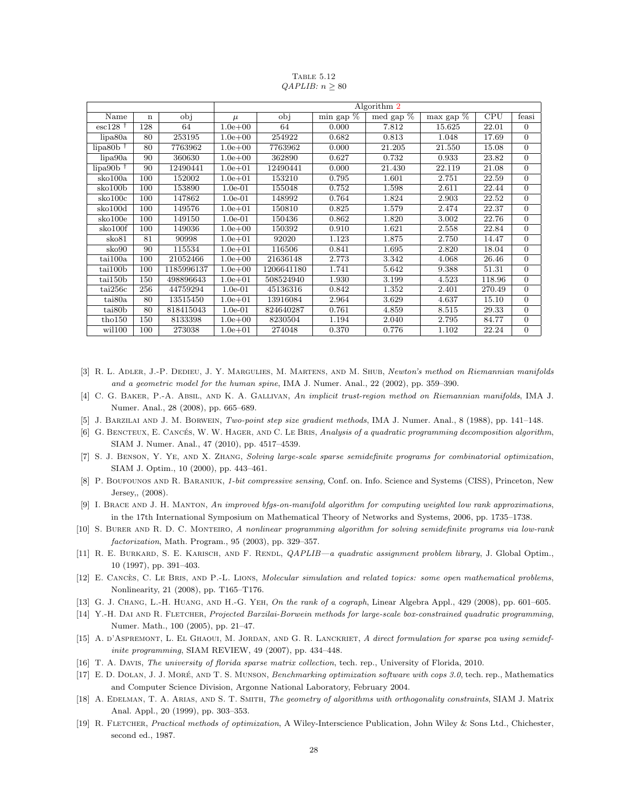|                                |     |            | Algorithm 2 |            |              |           |                            |        |                |  |
|--------------------------------|-----|------------|-------------|------------|--------------|-----------|----------------------------|--------|----------------|--|
| Name                           | n   | obj        | $\mu$       | obj        | min gap $\%$ | med gap % | $\max$ gap $\overline{\%}$ | CPU    | feasi          |  |
| $\mathrm{esc}128$ <sup>†</sup> | 128 | 64         | $1.0e + 00$ | 64         | 0.000        | 7.812     | 15.625                     | 22.01  | $\theta$       |  |
| lipa80a                        | 80  | 253195     | $1.0e + 00$ | 254922     | 0.682        | 0.813     | 1.048                      | 17.69  | $\Omega$       |  |
| $lipa80b$ <sup>†</sup>         | 80  | 7763962    | $1.0e + 00$ | 7763962    | 0.000        | 21.205    | 21.550                     | 15.08  | $\Omega$       |  |
| lipa90a                        | 90  | 360630     | $1.0e + 00$ | 362890     | 0.627        | 0.732     | 0.933                      | 23.82  | $\overline{0}$ |  |
| $lipa90b$ <sup>†</sup>         | 90  | 12490441   | $1.0e + 01$ | 12490441   | 0.000        | 21.430    | 22.119                     | 21.08  | $\Omega$       |  |
| sko100a                        | 100 | 152002     | $1.0e + 01$ | 153210     | 0.795        | 1.601     | 2.751                      | 22.59  | $\Omega$       |  |
| sko100b                        | 100 | 153890     | $1.0e-01$   | 155048     | 0.752        | 1.598     | 2.611                      | 22.44  | $\theta$       |  |
| sko100c                        | 100 | 147862     | $1.0e-01$   | 148992     | 0.764        | 1.824     | 2.903                      | 22.52  | $\Omega$       |  |
| sko100d                        | 100 | 149576     | $1.0e + 01$ | 150810     | 0.825        | 1.579     | 2.474                      | 22.37  | $\theta$       |  |
| sko100e                        | 100 | 149150     | $1.0e-01$   | 150436     | 0.862        | 1.820     | 3.002                      | 22.76  | $\theta$       |  |
| sko100f                        | 100 | 149036     | $1.0e + 00$ | 150392     | 0.910        | 1.621     | 2.558                      | 22.84  | $\theta$       |  |
| sko81                          | 81  | 90998      | $1.0e + 01$ | 92020      | 1.123        | 1.875     | 2.750                      | 14.47  | $\theta$       |  |
| sko90                          | 90  | 115534     | $1.0e + 01$ | 116506     | 0.841        | 1.695     | 2.820                      | 18.04  | $\theta$       |  |
| tail00a                        | 100 | 21052466   | $1.0e + 00$ | 21636148   | 2.773        | 3.342     | 4.068                      | 26.46  | $\theta$       |  |
| tai100b                        | 100 | 1185996137 | $1.0e + 00$ | 1206641180 | 1.741        | 5.642     | 9.388                      | 51.31  | $\Omega$       |  |
| tail50b                        | 150 | 498896643  | $1.0e + 01$ | 508524940  | 1.930        | 3.199     | 4.523                      | 118.96 | $\Omega$       |  |
| $\tau$ ai $256c$               | 256 | 44759294   | $1.0e-01$   | 45136316   | 0.842        | 1.352     | 2.401                      | 270.49 | $\Omega$       |  |
| tai80a                         | 80  | 13515450   | $1.0e + 01$ | 13916084   | 2.964        | 3.629     | 4.637                      | 15.10  | $\Omega$       |  |
| tai <sub>80</sub> b            | 80  | 818415043  | $1.0e-01$   | 824640287  | 0.761        | 4.859     | 8.515                      | 29.33  | $\Omega$       |  |
| tho150                         | 150 | 8133398    | $1.0e + 00$ | 8230504    | 1.194        | 2.040     | 2.795                      | 84.77  | $\theta$       |  |
| wil100                         | 100 | 273038     | $1.0e + 01$ | 274048     | 0.370        | 0.776     | 1.102                      | 22.24  | $\overline{0}$ |  |

<span id="page-27-17"></span>TABLE 5.12  $QAPLIB: n > 80$ 

- <span id="page-27-0"></span>[3] R. L. ADLER, J.-P. DEDIEU, J. Y. MARGULIES, M. MARTENS, AND M. SHUB, Newton's method on Riemannian manifolds and a geometric model for the human spine, IMA J. Numer. Anal., 22 (2002), pp. 359–390.
- <span id="page-27-1"></span>[4] C. G. Baker, P.-A. Absil, and K. A. Gallivan, An implicit trust-region method on Riemannian manifolds, IMA J. Numer. Anal., 28 (2008), pp. 665–689.
- <span id="page-27-10"></span>[5] J. Barzilai and J. M. Borwein, Two-point step size gradient methods, IMA J. Numer. Anal., 8 (1988), pp. 141–148.
- <span id="page-27-4"></span>[6] G. BENCTEUX, E. CANCÉS, W. W. HAGER, AND C. LE BRIS, Analysis of a quadratic programming decomposition algorithm, SIAM J. Numer. Anal., 47 (2010), pp. 4517–4539.
- <span id="page-27-14"></span>[7] S. J. Benson, Y. Ye, and X. Zhang, Solving large-scale sparse semidefinite programs for combinatorial optimization, SIAM J. Optim., 10 (2000), pp. 443–461.
- <span id="page-27-6"></span>[8] P. BOUFOUNOS AND R. BARANIUK, 1-bit compressive sensing, Conf. on. Info. Science and Systems (CISS), Princeton, New Jersey,, (2008).
- <span id="page-27-3"></span>[9] I. BRACE AND J. H. MANTON, An improved bfgs-on-manifold algorithm for computing weighted low rank approximations, in the 17th International Symposium on Mathematical Theory of Networks and Systems, 2006, pp. 1735–1738.
- <span id="page-27-7"></span>[10] S. Burer and R. D. C. Monteiro, A nonlinear programming algorithm for solving semidefinite programs via low-rank factorization, Math. Program., 95 (2003), pp. 329–357.
- <span id="page-27-16"></span>[11] R. E. BURKARD, S. E. KARISCH, AND F. RENDL, *QAPLIB—a quadratic assignment problem library*, J. Global Optim., 10 (1997), pp. 391–403.
- <span id="page-27-5"></span>[12] E. CANCÈS, C. LE BRIS, AND P.-L. LIONS, Molecular simulation and related topics: some open mathematical problems, Nonlinearity, 21 (2008), pp. T165–T176.
- <span id="page-27-12"></span>[13] G. J. CHANG, L.-H. HUANG, AND H.-G. YEH, On the rank of a cograph, Linear Algebra Appl., 429 (2008), pp. 601–605.
- <span id="page-27-11"></span>[14] Y.-H. DAI AND R. FLETCHER, Projected Barzilai-Borwein methods for large-scale box-constrained quadratic programming, Numer. Math., 100 (2005), pp. 21–47.
- <span id="page-27-8"></span>[15] A. d'Aspremont, L. El GHAOUI, M. JORDAN, AND G. R. LANCKRIET, A direct formulation for sparse pca using semidefinite programming, SIAM REVIEW, 49 (2007), pp. 434–448.
- <span id="page-27-15"></span>[16] T. A. Davis, The university of florida sparse matrix collection, tech. rep., University of Florida, 2010.
- <span id="page-27-13"></span>[17] E. D. DOLAN, J. J. MORÉ, AND T. S. MUNSON, *Benchmarking optimization software with cops 3.0*, tech. rep., Mathematics and Computer Science Division, Argonne National Laboratory, February 2004.
- <span id="page-27-2"></span>[18] A. EDELMAN, T. A. ARIAS, AND S. T. SMITH, The geometry of algorithms with orthogonality constraints, SIAM J. Matrix Anal. Appl., 20 (1999), pp. 303–353.
- <span id="page-27-9"></span>[19] R. FLETCHER, Practical methods of optimization, A Wiley-Interscience Publication, John Wiley & Sons Ltd., Chichester, second ed., 1987.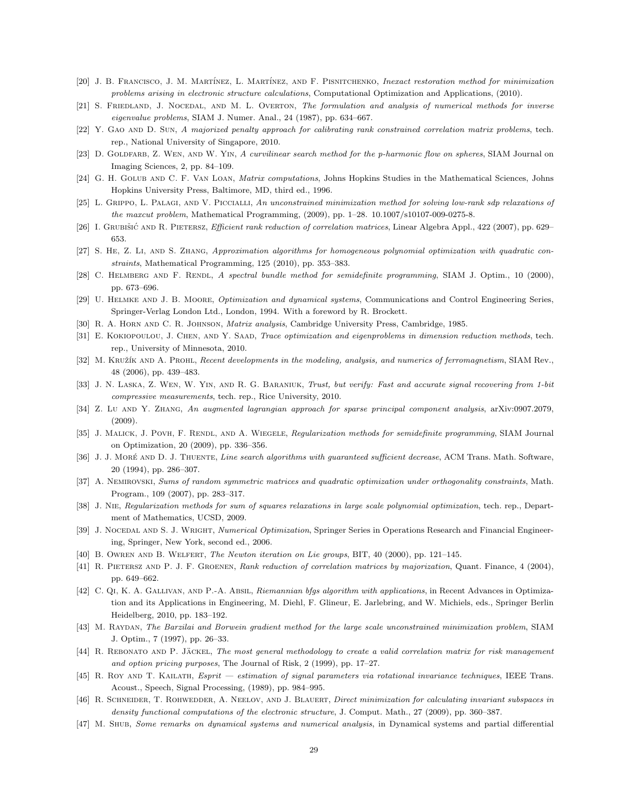- <span id="page-28-8"></span>[20] J. B. FRANCISCO, J. M. MARTÍNEZ, L. MARTÍNEZ, AND F. PISNITCHENKO, Inexact restoration method for minimization problems arising in electronic structure calculations, Computational Optimization and Applications, (2010).
- <span id="page-28-1"></span>[21] S. FRIEDLAND, J. NOCEDAL, AND M. L. OVERTON, The formulation and analysis of numerical methods for inverse eigenvalue problems, SIAM J. Numer. Anal., 24 (1987), pp. 634–667.
- <span id="page-28-12"></span>[22] Y. GAO AND D. SUN, A majorized penalty approach for calibrating rank constrained correlation matrix problems, tech. rep., National University of Singapore, 2010.
- <span id="page-28-0"></span>[23] D. GOLDFARB, Z. WEN, AND W. YIN, A curvilinear search method for the p-harmonic flow on spheres, SIAM Journal on Imaging Sciences, 2, pp. 84–109.
- <span id="page-28-16"></span>[24] G. H. Golub and C. F. Van Loan, Matrix computations, Johns Hopkins Studies in the Mathematical Sciences, Johns Hopkins University Press, Baltimore, MD, third ed., 1996.
- <span id="page-28-23"></span>[25] L. GRIPPO, L. PALAGI, AND V. PICCIALLI, An unconstrained minimization method for solving low-rank sdp relaxations of the maxcut problem, Mathematical Programming, (2009), pp. 1–28. 10.1007/s10107-009-0275-8.
- <span id="page-28-25"></span>[26] I. GRUBIŠIĆ AND R. PIETERSZ, *Efficient rank reduction of correlation matrices*, Linear Algebra Appl., 422 (2007), pp. 629– 653.
- <span id="page-28-20"></span>[27] S. He, Z. Li, and S. Zhang, Approximation algorithms for homogeneous polynomial optimization with quadratic constraints, Mathematical Programming, 125 (2010), pp. 353–383.
- <span id="page-28-24"></span>[28] C. HELMBERG AND F. RENDL, A spectral bundle method for semidefinite programming, SIAM J. Optim., 10 (2000), pp. 673–696.
- <span id="page-28-3"></span>[29] U. HELMKE AND J. B. MOORE, Optimization and dynamical systems, Communications and Control Engineering Series, Springer-Verlag London Ltd., London, 1994. With a foreword by R. Brockett.
- <span id="page-28-19"></span>[30] R. A. Horn and C. R. Johnson, Matrix analysis, Cambridge University Press, Cambridge, 1985.
- <span id="page-28-6"></span>[31] E. KOKIOPOULOU, J. CHEN, AND Y. SAAD, *Trace optimization and eigenproblems in dimension reduction methods*, tech. rep., University of Minnesota, 2010.
- <span id="page-28-10"></span>[32] M. KRUŽÍK AND A. PROHL, Recent developments in the modeling, analysis, and numerics of ferromagnetism, SIAM Rev., 48 (2006), pp. 439–483.
- <span id="page-28-11"></span>[33] J. N. LASKA, Z. WEN, W. YIN, AND R. G. BARANIUK, Trust, but verify: Fast and accurate signal recovering from 1-bit compressive measurements, tech. rep., Rice University, 2010.
- <span id="page-28-14"></span>[34] Z. Lu and Y. Zhang, An augmented lagrangian approach for sparse principal component analysis, arXiv:0907.2079, (2009).
- <span id="page-28-22"></span>[35] J. MALICK, J. POVH, F. RENDL, AND A. WIEGELE, Regularization methods for semidefinite programming, SIAM Journal on Optimization, 20 (2009), pp. 336–356.
- <span id="page-28-17"></span>[36] J. J. MORÉ AND D. J. THUENTE, Line search algorithms with guaranteed sufficient decrease, ACM Trans. Math. Software, 20 (1994), pp. 286–307.
- <span id="page-28-7"></span>[37] A. Nemirovski, Sums of random symmetric matrices and quadratic optimization under orthogonality constraints, Math. Program., 109 (2007), pp. 283–317.
- <span id="page-28-21"></span>[38] J. NIE, Regularization methods for sum of squares relaxations in large scale polynomial optimization, tech. rep., Department of Mathematics, UCSD, 2009.
- <span id="page-28-15"></span>[39] J. NOCEDAL AND S. J. WRIGHT, Numerical Optimization, Springer Series in Operations Research and Financial Engineering, Springer, New York, second ed., 2006.
- <span id="page-28-5"></span>[40] B. OWREN AND B. WELFERT, The Newton iteration on Lie groups, BIT, 40 (2000), pp. 121–145.
- <span id="page-28-26"></span>[41] R. PIETERSZ AND P. J. F. GROENEN, Rank reduction of correlation matrices by majorization, Quant. Finance, 4 (2004), pp. 649–662.
- <span id="page-28-4"></span>[42] C. Qi, K. A. Gallivan, and P.-A. Absil, Riemannian bfgs algorithm with applications, in Recent Advances in Optimization and its Applications in Engineering, M. Diehl, F. Glineur, E. Jarlebring, and W. Michiels, eds., Springer Berlin Heidelberg, 2010, pp. 183–192.
- <span id="page-28-18"></span>[43] M. RAYDAN, The Barzilai and Borwein gradient method for the large scale unconstrained minimization problem, SIAM J. Optim., 7 (1997), pp. 26–33.
- <span id="page-28-27"></span>[44] R. REBONATO AND P. JÄCKEL, The most general methodology to create a valid correlation matrix for risk management and option pricing purposes, The Journal of Risk, 2 (1999), pp. 17–27.
- <span id="page-28-13"></span>[45] R. ROY AND T. KAILATH, Esprit — estimation of signal parameters via rotational invariance techniques, IEEE Trans. Acoust., Speech, Signal Processing, (1989), pp. 984–995.
- <span id="page-28-9"></span>[46] R. SCHNEIDER, T. ROHWEDDER, A. NEELOV, AND J. BLAUERT, Direct minimization for calculating invariant subspaces in density functional computations of the electronic structure, J. Comput. Math., 27 (2009), pp. 360–387.
- <span id="page-28-2"></span>[47] M. SHUB, Some remarks on dynamical systems and numerical analysis, in Dynamical systems and partial differential